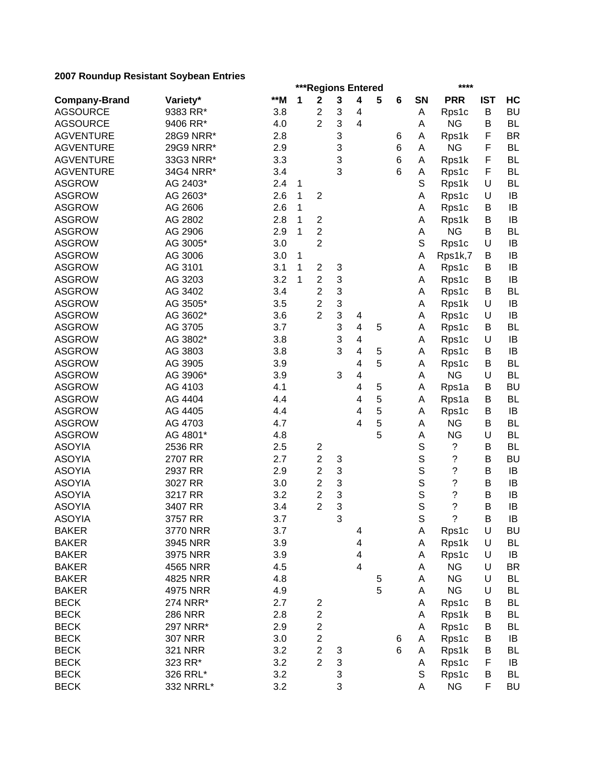|                      |                |       |   | ***Regions Entered      |   |                         |   |   |             | ****                     |            |           |
|----------------------|----------------|-------|---|-------------------------|---|-------------------------|---|---|-------------|--------------------------|------------|-----------|
| <b>Company-Brand</b> | Variety*       | $*$ M | 1 | $\mathbf 2$             | 3 | $\overline{\mathbf{4}}$ | 5 | 6 | SN          | <b>PRR</b>               | <b>IST</b> | HC        |
| <b>AGSOURCE</b>      | 9383 RR*       | 3.8   |   | $\overline{c}$          | 3 | 4                       |   |   | Α           | Rps1c                    | B          | <b>BU</b> |
| <b>AGSOURCE</b>      | 9406 RR*       | 4.0   |   | $\overline{2}$          | 3 | $\overline{4}$          |   |   | Α           | <b>NG</b>                | B          | <b>BL</b> |
| <b>AGVENTURE</b>     | 28G9 NRR*      | 2.8   |   |                         | 3 |                         |   | 6 | Α           | Rps1k                    | F          | <b>BR</b> |
| <b>AGVENTURE</b>     | 29G9 NRR*      | 2.9   |   |                         | 3 |                         |   | 6 | Α           | <b>NG</b>                | F          | <b>BL</b> |
| <b>AGVENTURE</b>     | 33G3 NRR*      | 3.3   |   |                         | 3 |                         |   | 6 | A           | Rps1k                    | F          | <b>BL</b> |
| <b>AGVENTURE</b>     | 34G4 NRR*      | 3.4   |   |                         | 3 |                         |   | 6 | A           | Rps1c                    | F          | <b>BL</b> |
| <b>ASGROW</b>        | AG 2403*       | 2.4   | 1 |                         |   |                         |   |   | S           | Rps1k                    | U          | <b>BL</b> |
| <b>ASGROW</b>        | AG 2603*       | 2.6   | 1 | $\overline{2}$          |   |                         |   |   | A           | Rps1c                    | U          | IB        |
| <b>ASGROW</b>        | AG 2606        | 2.6   | 1 |                         |   |                         |   |   | A           | Rps1c                    | В          | IB        |
| <b>ASGROW</b>        | AG 2802        | 2.8   | 1 | $\overline{2}$          |   |                         |   |   | A           | Rps1k                    | В          | IB        |
| <b>ASGROW</b>        | AG 2906        | 2.9   | 1 | $\overline{2}$          |   |                         |   |   | A           | <b>NG</b>                | B          | <b>BL</b> |
| <b>ASGROW</b>        | AG 3005*       | 3.0   |   | $\overline{2}$          |   |                         |   |   | S           | Rps1c                    | U          | IB        |
| <b>ASGROW</b>        | AG 3006        | 3.0   | 1 |                         |   |                         |   |   | A           | Rps1k,7                  | В          | IB        |
| <b>ASGROW</b>        | AG 3101        | 3.1   | 1 | $\overline{c}$          | 3 |                         |   |   | Α           | Rps1c                    | В          | IB        |
| <b>ASGROW</b>        | AG 3203        | 3.2   | 1 | $\overline{c}$          | 3 |                         |   |   | A           | Rps1c                    | B          | IB        |
| <b>ASGROW</b>        | AG 3402        | 3.4   |   | $\overline{c}$          | 3 |                         |   |   | А           | Rps1c                    | B          | <b>BL</b> |
| <b>ASGROW</b>        | AG 3505*       | 3.5   |   | $\overline{c}$          | 3 |                         |   |   | А           |                          | $\cup$     | IB        |
|                      |                |       |   | $\overline{2}$          |   |                         |   |   |             | Rps1k                    |            |           |
| <b>ASGROW</b>        | AG 3602*       | 3.6   |   |                         | 3 | 4                       |   |   | Α           | Rps1c                    | $\cup$     | IB        |
| <b>ASGROW</b>        | AG 3705        | 3.7   |   |                         | 3 | $\overline{\mathbf{4}}$ | 5 |   | Α           | Rps1c                    | В          | <b>BL</b> |
| <b>ASGROW</b>        | AG 3802*       | 3.8   |   |                         | 3 | $\overline{\mathbf{4}}$ |   |   | Α           | Rps1c                    | $\cup$     | IB        |
| <b>ASGROW</b>        | AG 3803        | 3.8   |   |                         | 3 | $\overline{\mathbf{4}}$ | 5 |   | Α           | Rps1c                    | B          | IB        |
| <b>ASGROW</b>        | AG 3905        | 3.9   |   |                         |   | 4                       | 5 |   | Α           | Rps1c                    | B          | <b>BL</b> |
| <b>ASGROW</b>        | AG 3906*       | 3.9   |   |                         | 3 | $\overline{\mathbf{4}}$ |   |   | Α           | <b>NG</b>                | U          | <b>BL</b> |
| <b>ASGROW</b>        | AG 4103        | 4.1   |   |                         |   | 4                       | 5 |   | Α           | Rps1a                    | B          | <b>BU</b> |
| <b>ASGROW</b>        | AG 4404        | 4.4   |   |                         |   | 4                       | 5 |   | Α           | Rps1a                    | B          | <b>BL</b> |
| <b>ASGROW</b>        | AG 4405        | 4.4   |   |                         |   | 4                       | 5 |   | A           | Rps1c                    | B          | IB        |
| <b>ASGROW</b>        | AG 4703        | 4.7   |   |                         |   | 4                       | 5 |   | Α           | <b>NG</b>                | B          | <b>BL</b> |
| <b>ASGROW</b>        | AG 4801*       | 4.8   |   |                         |   |                         | 5 |   | А           | <b>NG</b>                | U          | <b>BL</b> |
| <b>ASOYIA</b>        | 2536 RR        | 2.5   |   | $\overline{c}$          |   |                         |   |   | $\mathbb S$ | ?                        | B          | <b>BL</b> |
| <b>ASOYIA</b>        | 2707 RR        | 2.7   |   | $\overline{c}$          | 3 |                         |   |   | $\mathbb S$ | ?                        | B          | <b>BU</b> |
| <b>ASOYIA</b>        | 2937 RR        | 2.9   |   | $\overline{c}$          | 3 |                         |   |   | S           | $\overline{\cdot}$       | B          | IB        |
| <b>ASOYIA</b>        | 3027 RR        | 3.0   |   | $\overline{\mathbf{c}}$ | 3 |                         |   |   | S           | $\overline{\cdot}$       | B          | IB        |
| <b>ASOYIA</b>        | 3217 RR        | 3.2   |   | $\overline{c}$          | 3 |                         |   |   | S           | $\overline{\cdot}$       | B          | IB        |
| <b>ASOYIA</b>        | 3407 RR        | 3.4   |   | $\overline{2}$          | 3 |                         |   |   | S           | ?                        | B          | IB        |
| <b>ASOYIA</b>        | 3757 RR        | 3.7   |   |                         | 3 |                         |   |   | $\mathbb S$ | $\overline{\mathcal{C}}$ | B          | $\sf IB$  |
| <b>BAKER</b>         | 3770 NRR       | 3.7   |   |                         |   | 4                       |   |   | A           | Rps1c                    | U          | <b>BU</b> |
| <b>BAKER</b>         | 3945 NRR       | 3.9   |   |                         |   | 4                       |   |   | A           | Rps1k                    | U          | <b>BL</b> |
| <b>BAKER</b>         | 3975 NRR       | 3.9   |   |                         |   | $\overline{\mathbf{4}}$ |   |   | Α           | Rps1c                    | U          | IB        |
| <b>BAKER</b>         | 4565 NRR       | 4.5   |   |                         |   | $\overline{\mathbf{4}}$ |   |   | Α           | <b>NG</b>                | U          | <b>BR</b> |
| <b>BAKER</b>         | 4825 NRR       | 4.8   |   |                         |   |                         | 5 |   | Α           | <b>NG</b>                | U          | <b>BL</b> |
| <b>BAKER</b>         | 4975 NRR       | 4.9   |   |                         |   |                         | 5 |   | Α           | <b>NG</b>                | U          | BL        |
| <b>BECK</b>          | 274 NRR*       | 2.7   |   | $\overline{\mathbf{c}}$ |   |                         |   |   | Α           | Rps1c                    | В          | <b>BL</b> |
| <b>BECK</b>          | <b>286 NRR</b> | 2.8   |   | 2                       |   |                         |   |   | Α           | Rps1k                    | B          | <b>BL</b> |
| <b>BECK</b>          | 297 NRR*       | 2.9   |   | $\overline{c}$          |   |                         |   |   | Α           | Rps1c                    | B          | <b>BL</b> |
| <b>BECK</b>          | <b>307 NRR</b> | 3.0   |   | $\overline{c}$          |   |                         |   | 6 | Α           | Rps1c                    | В          | IB        |
| <b>BECK</b>          | <b>321 NRR</b> | 3.2   |   | $\overline{c}$          | 3 |                         |   | 6 | Α           | Rps1k                    | B          | <b>BL</b> |
| <b>BECK</b>          | 323 RR*        | 3.2   |   | $\overline{2}$          | 3 |                         |   |   | Α           | Rps1c                    | F          | IB        |
| <b>BECK</b>          | 326 RRL*       | 3.2   |   |                         | 3 |                         |   |   | S           | Rps1c                    | B          | <b>BL</b> |
| <b>BECK</b>          | 332 NRRL*      | 3.2   |   |                         | 3 |                         |   |   | Α           | <b>NG</b>                | F          | <b>BU</b> |
|                      |                |       |   |                         |   |                         |   |   |             |                          |            |           |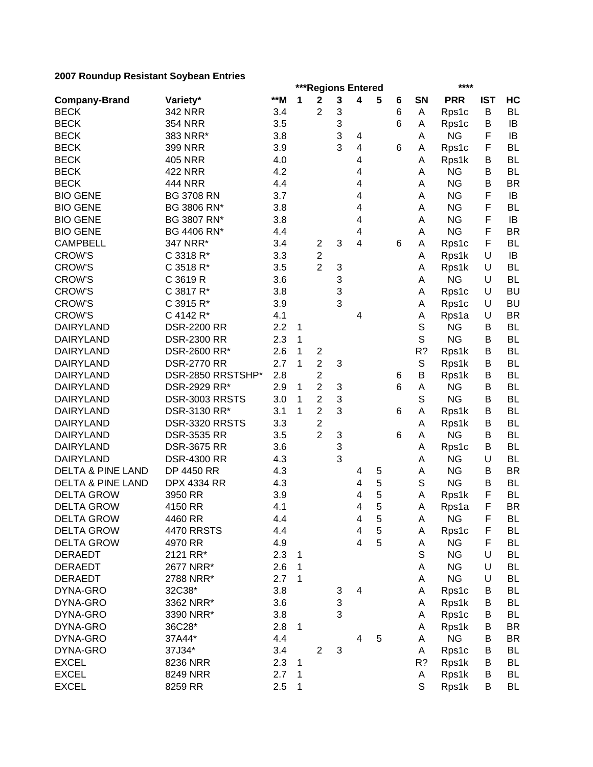|                              |                    |       |             |                         |   | ***Regions Entered      |   |   |             | ****       |            |           |
|------------------------------|--------------------|-------|-------------|-------------------------|---|-------------------------|---|---|-------------|------------|------------|-----------|
| <b>Company-Brand</b>         | Variety*           | $**M$ | 1           | $\mathbf 2$             | 3 | $\overline{\mathbf{4}}$ | 5 | 6 | SN          | <b>PRR</b> | <b>IST</b> | HC        |
| <b>BECK</b>                  | <b>342 NRR</b>     | 3.4   |             | $\overline{2}$          | 3 |                         |   | 6 | A           | Rps1c      | B          | <b>BL</b> |
| <b>BECK</b>                  | <b>354 NRR</b>     | 3.5   |             |                         | 3 |                         |   | 6 | Α           | Rps1c      | B          | IB        |
| <b>BECK</b>                  | 383 NRR*           | 3.8   |             |                         | 3 | 4                       |   |   | Α           | <b>NG</b>  | F          | IB        |
| <b>BECK</b>                  | <b>399 NRR</b>     | 3.9   |             |                         | 3 | $\overline{\mathbf{4}}$ |   | 6 | Α           | Rps1c      | F          | <b>BL</b> |
| <b>BECK</b>                  | <b>405 NRR</b>     | 4.0   |             |                         |   | 4                       |   |   | Α           | Rps1k      | В          | <b>BL</b> |
| <b>BECK</b>                  | <b>422 NRR</b>     | 4.2   |             |                         |   | 4                       |   |   | Α           | <b>NG</b>  | B          | <b>BL</b> |
| <b>BECK</b>                  | <b>444 NRR</b>     | 4.4   |             |                         |   | 4                       |   |   | A           | <b>NG</b>  | B          | <b>BR</b> |
| <b>BIO GENE</b>              | <b>BG 3708 RN</b>  | 3.7   |             |                         |   | 4                       |   |   | A           | <b>NG</b>  | F          | IB        |
| <b>BIO GENE</b>              | BG 3806 RN*        | 3.8   |             |                         |   | 4                       |   |   | A           | <b>NG</b>  | F          | <b>BL</b> |
| <b>BIO GENE</b>              | BG 3807 RN*        | 3.8   |             |                         |   | 4                       |   |   | A           | <b>NG</b>  | F          | IB        |
| <b>BIO GENE</b>              | BG 4406 RN*        | 4.4   |             |                         |   | 4                       |   |   | A           | <b>NG</b>  | F          | <b>BR</b> |
| <b>CAMPBELL</b>              | 347 NRR*           | 3.4   |             | 2                       | 3 | 4                       |   | 6 | Α           | Rps1c      | F          | <b>BL</b> |
| <b>CROW'S</b>                | C 3318 R*          | 3.3   |             | 2                       |   |                         |   |   | Α           | Rps1k      | U          | IB        |
| <b>CROW'S</b>                | C 3518 R*          | 3.5   |             | $\overline{2}$          | 3 |                         |   |   | Α           | Rps1k      | U          | <b>BL</b> |
| <b>CROW'S</b>                | C 3619 R           | 3.6   |             |                         | 3 |                         |   |   | A           | <b>NG</b>  | U          | <b>BL</b> |
| <b>CROW'S</b>                | C 3817 R*          | 3.8   |             |                         | 3 |                         |   |   | Α           |            | U          | <b>BU</b> |
| <b>CROW'S</b>                |                    |       |             |                         | 3 |                         |   |   |             | Rps1c      | U          | <b>BU</b> |
|                              | C 3915 R*          | 3.9   |             |                         |   |                         |   |   | Α           | Rps1c      |            |           |
| <b>CROW'S</b>                | C 4142 R*          | 4.1   |             |                         |   | 4                       |   |   | Α           | Rps1a      | U          | <b>BR</b> |
| <b>DAIRYLAND</b>             | <b>DSR-2200 RR</b> | 2.2   | 1           |                         |   |                         |   |   | S           | <b>NG</b>  | B          | <b>BL</b> |
| <b>DAIRYLAND</b>             | <b>DSR-2300 RR</b> | 2.3   | 1           |                         |   |                         |   |   | S           | <b>NG</b>  | В          | <b>BL</b> |
| <b>DAIRYLAND</b>             | DSR-2600 RR*       | 2.6   | 1           | $\overline{c}$          |   |                         |   |   | R?          | Rps1k      | В          | <b>BL</b> |
| <b>DAIRYLAND</b>             | <b>DSR-2770 RR</b> | 2.7   | 1           | $\overline{2}$          | 3 |                         |   |   | $\mathbb S$ | Rps1k      | B          | <b>BL</b> |
| <b>DAIRYLAND</b>             | DSR-2850 RRSTSHP*  | 2.8   |             | $\overline{\mathbf{c}}$ |   |                         |   | 6 | B           | Rps1k      | B          | <b>BL</b> |
| <b>DAIRYLAND</b>             | DSR-2929 RR*       | 2.9   | 1           | $\overline{2}$          | 3 |                         |   | 6 | A           | <b>NG</b>  | B          | <b>BL</b> |
| <b>DAIRYLAND</b>             | DSR-3003 RRSTS     | 3.0   | 1           | $\overline{c}$          | 3 |                         |   |   | S           | <b>NG</b>  | В          | <b>BL</b> |
| <b>DAIRYLAND</b>             | DSR-3130 RR*       | 3.1   | 1           | $\overline{2}$          | 3 |                         |   | 6 | Α           | Rps1k      | В          | <b>BL</b> |
| <b>DAIRYLAND</b>             | DSR-3320 RRSTS     | 3.3   |             | $\overline{c}$          |   |                         |   |   | Α           | Rps1k      | В          | <b>BL</b> |
| <b>DAIRYLAND</b>             | <b>DSR-3535 RR</b> | 3.5   |             | $\overline{2}$          | 3 |                         |   | 6 | A           | <b>NG</b>  | B          | <b>BL</b> |
| <b>DAIRYLAND</b>             | <b>DSR-3675 RR</b> | 3.6   |             |                         | 3 |                         |   |   | Α           | Rps1c      | В          | <b>BL</b> |
| <b>DAIRYLAND</b>             | <b>DSR-4300 RR</b> | 4.3   |             |                         | 3 |                         |   |   | A           | <b>NG</b>  | U          | <b>BL</b> |
| <b>DELTA &amp; PINE LAND</b> | <b>DP 4450 RR</b>  | 4.3   |             |                         |   | 4                       | 5 |   | A           | <b>NG</b>  | B          | <b>BR</b> |
| <b>DELTA &amp; PINE LAND</b> | <b>DPX 4334 RR</b> | 4.3   |             |                         |   | 4                       | 5 |   | S           | <b>NG</b>  | B          | <b>BL</b> |
| <b>DELTA GROW</b>            | 3950 RR            | 3.9   |             |                         |   | 4                       | 5 |   | Α           | Rps1k      | F          | <b>BL</b> |
| <b>DELTA GROW</b>            | 4150 RR            | 4.1   |             |                         |   | 4                       | 5 |   | Α           | Rps1a      | F          | <b>BR</b> |
| <b>DELTA GROW</b>            | 4460 RR            | 4.4   |             |                         |   | $\overline{\mathbf{4}}$ | 5 |   | A           | <b>NG</b>  | F          | <b>BL</b> |
| <b>DELTA GROW</b>            | <b>4470 RRSTS</b>  | 4.4   |             |                         |   | 4                       | 5 |   | Α           | Rps1c      | F          | <b>BL</b> |
| <b>DELTA GROW</b>            | 4970 RR            | 4.9   |             |                         |   | $\overline{\mathbf{4}}$ | 5 |   | Α           | <b>NG</b>  | F          | <b>BL</b> |
| <b>DERAEDT</b>               | 2121 RR*           | 2.3   | 1           |                         |   |                         |   |   | S           | <b>NG</b>  | U          | <b>BL</b> |
| <b>DERAEDT</b>               | 2677 NRR*          | 2.6   | 1           |                         |   |                         |   |   | Α           | <b>NG</b>  | U          | <b>BL</b> |
| <b>DERAEDT</b>               | 2788 NRR*          | 2.7   | 1           |                         |   |                         |   |   | A           | <b>NG</b>  | U          | <b>BL</b> |
| DYNA-GRO                     | 32C38*             | 3.8   |             |                         | 3 | $\overline{4}$          |   |   | Α           | Rps1c      | B          | <b>BL</b> |
| DYNA-GRO                     | 3362 NRR*          | 3.6   |             |                         | 3 |                         |   |   | Α           | Rps1k      | В          | <b>BL</b> |
| DYNA-GRO                     | 3390 NRR*          | 3.8   |             |                         | 3 |                         |   |   | Α           | Rps1c      | B          | <b>BL</b> |
| DYNA-GRO                     | 36C28*             | 2.8   | 1           |                         |   |                         |   |   | Α           | Rps1k      | В          | <b>BR</b> |
| DYNA-GRO                     | 37A44*             | 4.4   |             |                         |   | $\overline{4}$          | 5 |   | A           | <b>NG</b>  | B          | <b>BR</b> |
| DYNA-GRO                     | 37J34*             | 3.4   |             | $\overline{2}$          | 3 |                         |   |   | Α           | Rps1c      | В          | <b>BL</b> |
| <b>EXCEL</b>                 | 8236 NRR           | 2.3   | 1           |                         |   |                         |   |   | R?          | Rps1k      | В          | <b>BL</b> |
| <b>EXCEL</b>                 | 8249 NRR           | 2.7   | 1           |                         |   |                         |   |   | Α           | Rps1k      | B          | <b>BL</b> |
| <b>EXCEL</b>                 | 8259 RR            | 2.5   | $\mathbf 1$ |                         |   |                         |   |   | S           | Rps1k      | B          | BL        |
|                              |                    |       |             |                         |   |                         |   |   |             |            |            |           |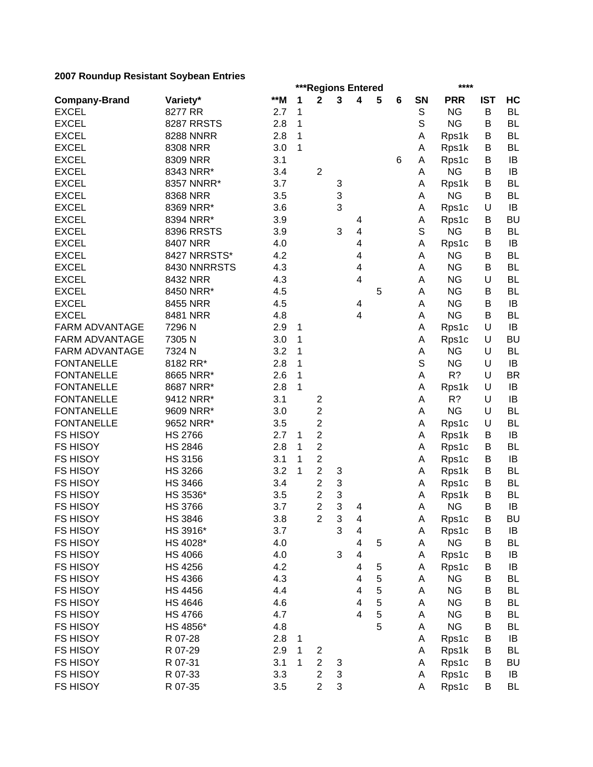|                       |                     |            |              | ***Regions Entered      |   |                         |   |   |             | ****       |            |           |
|-----------------------|---------------------|------------|--------------|-------------------------|---|-------------------------|---|---|-------------|------------|------------|-----------|
| <b>Company-Brand</b>  | Variety*            | **M        | 1            | $\mathbf 2$             | 3 | $\overline{\mathbf{4}}$ | 5 | 6 | SN          | <b>PRR</b> | <b>IST</b> | HC        |
| <b>EXCEL</b>          | 8277 RR             | 2.7        | 1            |                         |   |                         |   |   | S           | <b>NG</b>  | B          | <b>BL</b> |
| <b>EXCEL</b>          | <b>8287 RRSTS</b>   | 2.8        | $\mathbf{1}$ |                         |   |                         |   |   | $\mathbb S$ | <b>NG</b>  | B          | <b>BL</b> |
| <b>EXCEL</b>          | <b>8288 NNRR</b>    | 2.8        | 1            |                         |   |                         |   |   | Α           | Rps1k      | B          | <b>BL</b> |
| <b>EXCEL</b>          | 8308 NRR            | 3.0        | 1            |                         |   |                         |   |   | Α           | Rps1k      | B          | <b>BL</b> |
| <b>EXCEL</b>          | 8309 NRR            | 3.1        |              |                         |   |                         |   | 6 | Α           | Rps1c      | В          | IB        |
| <b>EXCEL</b>          | 8343 NRR*           | 3.4        |              | $\overline{2}$          |   |                         |   |   | Α           | <b>NG</b>  | B          | IB        |
| <b>EXCEL</b>          | 8357 NNRR*          | 3.7        |              |                         | 3 |                         |   |   | Α           | Rps1k      | В          | <b>BL</b> |
| <b>EXCEL</b>          | 8368 NRR            | 3.5        |              |                         | 3 |                         |   |   | Α           | <b>NG</b>  | В          | <b>BL</b> |
| <b>EXCEL</b>          | 8369 NRR*           | 3.6        |              |                         | 3 |                         |   |   | Α           | Rps1c      | U          | IB        |
| <b>EXCEL</b>          | 8394 NRR*           | 3.9        |              |                         |   | 4                       |   |   | Α           | Rps1c      | B          | <b>BU</b> |
| <b>EXCEL</b>          | 8396 RRSTS          | 3.9        |              |                         | 3 | 4                       |   |   | S           | <b>NG</b>  | В          | <b>BL</b> |
| <b>EXCEL</b>          | 8407 NRR            | 4.0        |              |                         |   | 4                       |   |   | Α           | Rps1c      | В          | IB        |
| <b>EXCEL</b>          | 8427 NRRSTS*        | 4.2        |              |                         |   | 4                       |   |   | Α           | <b>NG</b>  | В          | <b>BL</b> |
| <b>EXCEL</b>          | 8430 NNRRSTS        | 4.3        |              |                         |   | 4                       |   |   | A           | <b>NG</b>  | В          | <b>BL</b> |
| <b>EXCEL</b>          | 8432 NRR            | 4.3        |              |                         |   | 4                       |   |   | A           | <b>NG</b>  | U          | <b>BL</b> |
| <b>EXCEL</b>          | 8450 NRR*           | 4.5        |              |                         |   |                         | 5 |   | A           | <b>NG</b>  | B          | <b>BL</b> |
| <b>EXCEL</b>          | 8455 NRR            | 4.5        |              |                         |   | 4                       |   |   | A           | <b>NG</b>  | B          | IB        |
| <b>EXCEL</b>          | 8481 NRR            | 4.8        |              |                         |   | 4                       |   |   | A           | <b>NG</b>  | В          | <b>BL</b> |
| <b>FARM ADVANTAGE</b> | 7296 N              | 2.9        | 1            |                         |   |                         |   |   | Α           | Rps1c      | U          | IB        |
| <b>FARM ADVANTAGE</b> | 7305N               | 3.0        | 1            |                         |   |                         |   |   | Α           | Rps1c      | U          | <b>BU</b> |
| <b>FARM ADVANTAGE</b> | 7324 N              | 3.2        | 1            |                         |   |                         |   |   | Α           | <b>NG</b>  | U          | <b>BL</b> |
| <b>FONTANELLE</b>     | 8182 RR*            | 2.8        | 1            |                         |   |                         |   |   | S           | <b>NG</b>  | U          | IB        |
| <b>FONTANELLE</b>     | 8665 NRR*           | 2.6        | 1            |                         |   |                         |   |   | A           | R?         | U          | <b>BR</b> |
| <b>FONTANELLE</b>     | 8687 NRR*           | 2.8        | 1            |                         |   |                         |   |   | Α           | Rps1k      | U          | IB        |
| <b>FONTANELLE</b>     | 9412 NRR*           | 3.1        |              | 2                       |   |                         |   |   | Α           | R?         | U          | IB        |
| <b>FONTANELLE</b>     | 9609 NRR*           | 3.0        |              | $\overline{2}$          |   |                         |   |   | Α           | <b>NG</b>  | U          | <b>BL</b> |
| <b>FONTANELLE</b>     | 9652 NRR*           | 3.5        |              | $\overline{2}$          |   |                         |   |   | Α           | Rps1c      | U          | <b>BL</b> |
| <b>FS HISOY</b>       | <b>HS 2766</b>      | 2.7        | 1            | $\overline{\mathbf{c}}$ |   |                         |   |   | Α           | Rps1k      | B          | IB        |
| <b>FS HISOY</b>       | <b>HS 2846</b>      | 2.8        | 1            | $\overline{c}$          |   |                         |   |   | Α           | Rps1c      | В          | <b>BL</b> |
| <b>FS HISOY</b>       | <b>HS 3156</b>      | 3.1        | 1            | $\overline{\mathbf{c}}$ |   |                         |   |   | Α           | Rps1c      | В          | IB        |
| <b>FS HISOY</b>       | <b>HS 3266</b>      | 3.2        | 1            | $\overline{c}$          | 3 |                         |   |   | Α           | Rps1k      | В          | <b>BL</b> |
| <b>FS HISOY</b>       | <b>HS 3466</b>      | 3.4        |              | $\overline{c}$          | 3 |                         |   |   | Α           | Rps1c      | B          | <b>BL</b> |
| <b>FS HISOY</b>       | HS 3536*            | 3.5        |              | $\overline{\mathbf{c}}$ | 3 |                         |   |   | Α           | Rps1k      | B          | <b>BL</b> |
| <b>FS HISOY</b>       | <b>HS 3766</b>      | 3.7        |              | $\overline{2}$          | 3 | 4                       |   |   | A           | <b>NG</b>  | B          | IB        |
| FS HISOY              | <b>HS 3846</b>      | 3.8        |              | $\overline{c}$          | 3 | 4                       |   |   | A           | Rps1c      | B          | <b>BU</b> |
| <b>FS HISOY</b>       | HS 3916*            | 3.7        |              |                         | 3 | 4                       |   |   | Α           | Rps1c      | B          | IB        |
| <b>FS HISOY</b>       | HS 4028*            | 4.0        |              |                         |   | 4                       | 5 |   | Α           | <b>NG</b>  | B          | <b>BL</b> |
| <b>FS HISOY</b>       | <b>HS 4066</b>      | 4.0        |              |                         | 3 | $\overline{\mathbf{4}}$ |   |   | Α           | Rps1c      | B          | IB        |
| FS HISOY              | <b>HS 4256</b>      | 4.2        |              |                         |   | 4                       | 5 |   | Α           | Rps1c      | B          | IB        |
| <b>FS HISOY</b>       | <b>HS 4366</b>      | 4.3        |              |                         |   | 4                       | 5 |   | Α           | <b>NG</b>  | B          | <b>BL</b> |
| <b>FS HISOY</b>       | <b>HS 4456</b>      | 4.4        |              |                         |   | 4                       | 5 |   | Α           | <b>NG</b>  | B          | <b>BL</b> |
| <b>FS HISOY</b>       | <b>HS 4646</b>      | 4.6        |              |                         |   | 4                       | 5 |   | Α           | <b>NG</b>  | B          | BL        |
| <b>FS HISOY</b>       | <b>HS 4766</b>      | 4.7        |              |                         |   | $\overline{4}$          | 5 |   | Α           | <b>NG</b>  | B          | <b>BL</b> |
|                       |                     |            |              |                         |   |                         | 5 |   |             | <b>NG</b>  |            |           |
| <b>FS HISOY</b>       | HS 4856*<br>R 07-28 | 4.8<br>2.8 |              |                         |   |                         |   |   | Α           |            | B<br>B     | BL        |
| <b>FS HISOY</b>       |                     |            | 1            |                         |   |                         |   |   | Α           | Rps1c      |            | IB        |
| <b>FS HISOY</b>       | R 07-29             | 2.9        | 1            | 2                       |   |                         |   |   | Α           | Rps1k      | В          | <b>BL</b> |
| <b>FS HISOY</b>       | R 07-31             | 3.1        | 1            | $\boldsymbol{2}$        | 3 |                         |   |   | Α           | Rps1c      | В          | <b>BU</b> |
| <b>FS HISOY</b>       | R 07-33             | 3.3        |              | $\overline{c}$          | 3 |                         |   |   | Α           | Rps1c      | B          | IB        |
| <b>FS HISOY</b>       | R 07-35             | 3.5        |              | $\overline{c}$          | 3 |                         |   |   | Α           | Rps1c      | B          | <b>BL</b> |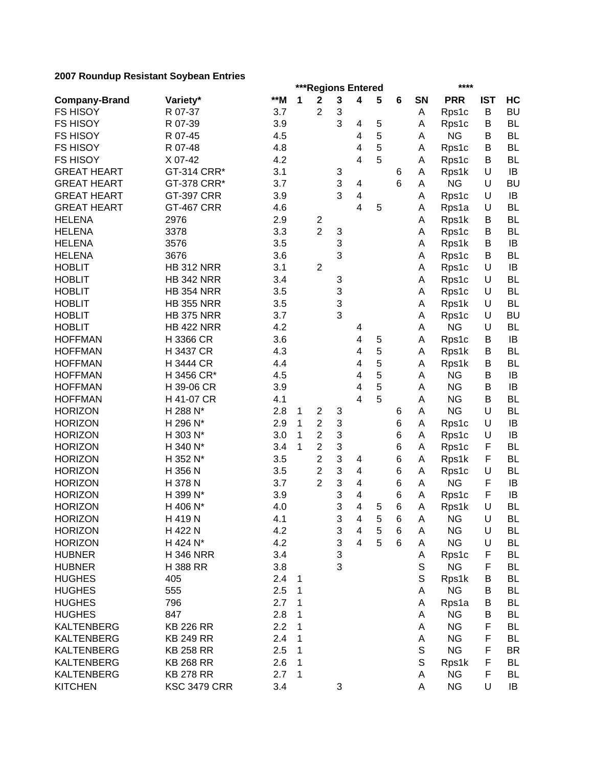|                      |                     |       |   | ***Regions Entered |   |                         |   |   |    | ****       |            |           |
|----------------------|---------------------|-------|---|--------------------|---|-------------------------|---|---|----|------------|------------|-----------|
| <b>Company-Brand</b> | Variety*            | $*$ M | 1 | $\mathbf 2$        | 3 | 4                       | 5 | 6 | SN | <b>PRR</b> | <b>IST</b> | HC        |
| <b>FS HISOY</b>      | R 07-37             | 3.7   |   | $\overline{2}$     | 3 |                         |   |   | Α  | Rps1c      | B          | <b>BU</b> |
| <b>FS HISOY</b>      | R 07-39             | 3.9   |   |                    | 3 | 4                       | 5 |   | A  | Rps1c      | B          | <b>BL</b> |
| <b>FS HISOY</b>      | R 07-45             | 4.5   |   |                    |   | 4                       | 5 |   | A  | <b>NG</b>  | B          | <b>BL</b> |
| <b>FS HISOY</b>      | R 07-48             | 4.8   |   |                    |   | 4                       | 5 |   | A  | Rps1c      | В          | <b>BL</b> |
| <b>FS HISOY</b>      | X 07-42             | 4.2   |   |                    |   | 4                       | 5 |   | Α  | Rps1c      | B          | <b>BL</b> |
| <b>GREAT HEART</b>   | GT-314 CRR*         | 3.1   |   |                    | 3 |                         |   | 6 | A  | Rps1k      | U          | IB        |
| <b>GREAT HEART</b>   | GT-378 CRR*         | 3.7   |   |                    | 3 | 4                       |   | 6 | A  | <b>NG</b>  | U          | <b>BU</b> |
| <b>GREAT HEART</b>   | <b>GT-397 CRR</b>   | 3.9   |   |                    | 3 | 4                       |   |   | A  | Rps1c      | U          | IB        |
| <b>GREAT HEART</b>   | <b>GT-467 CRR</b>   | 4.6   |   |                    |   | 4                       | 5 |   | A  | Rps1a      | U          | <b>BL</b> |
| <b>HELENA</b>        | 2976                | 2.9   |   | $\overline{c}$     |   |                         |   |   | A  | Rps1k      | В          | <b>BL</b> |
| <b>HELENA</b>        | 3378                | 3.3   |   | $\overline{2}$     | 3 |                         |   |   | A  | Rps1c      | В          | <b>BL</b> |
| <b>HELENA</b>        | 3576                | 3.5   |   |                    | 3 |                         |   |   | A  | Rps1k      | В          | IB        |
| <b>HELENA</b>        | 3676                | 3.6   |   |                    | 3 |                         |   |   | A  | Rps1c      | В          | <b>BL</b> |
| <b>HOBLIT</b>        | <b>HB 312 NRR</b>   | 3.1   |   | $\overline{2}$     |   |                         |   |   | Α  | Rps1c      | U          | IB        |
| <b>HOBLIT</b>        | <b>HB 342 NRR</b>   | 3.4   |   |                    | 3 |                         |   |   | А  | Rps1c      | U          | <b>BL</b> |
| <b>HOBLIT</b>        | <b>HB 354 NRR</b>   |       |   |                    |   |                         |   |   |    |            | U          | <b>BL</b> |
|                      |                     | 3.5   |   |                    | 3 |                         |   |   | А  | Rps1c      |            |           |
| <b>HOBLIT</b>        | <b>HB 355 NRR</b>   | 3.5   |   |                    | 3 |                         |   |   | Α  | Rps1k      | U          | <b>BL</b> |
| <b>HOBLIT</b>        | <b>HB 375 NRR</b>   | 3.7   |   |                    | 3 |                         |   |   | Α  | Rps1c      | U          | <b>BU</b> |
| <b>HOBLIT</b>        | <b>HB 422 NRR</b>   | 4.2   |   |                    |   | 4                       |   |   | Α  | <b>NG</b>  | U          | <b>BL</b> |
| <b>HOFFMAN</b>       | H 3366 CR           | 3.6   |   |                    |   | $\overline{\mathbf{4}}$ | 5 |   | А  | Rps1c      | В          | IB        |
| <b>HOFFMAN</b>       | H 3437 CR           | 4.3   |   |                    |   | 4                       | 5 |   | Α  | Rps1k      | B          | <b>BL</b> |
| <b>HOFFMAN</b>       | H 3444 CR           | 4.4   |   |                    |   | 4                       | 5 |   | Α  | Rps1k      | B          | <b>BL</b> |
| <b>HOFFMAN</b>       | H 3456 CR*          | 4.5   |   |                    |   | 4                       | 5 |   | Α  | <b>NG</b>  | B          | IB        |
| <b>HOFFMAN</b>       | H 39-06 CR          | 3.9   |   |                    |   | 4                       | 5 |   | А  | <b>NG</b>  | B          | IB        |
| <b>HOFFMAN</b>       | H 41-07 CR          | 4.1   |   |                    |   | 4                       | 5 |   | А  | <b>NG</b>  | B          | <b>BL</b> |
| <b>HORIZON</b>       | H 288 N*            | 2.8   | 1 | $\overline{c}$     | 3 |                         |   | 6 | Α  | <b>NG</b>  | U          | <b>BL</b> |
| <b>HORIZON</b>       | H 296 N*            | 2.9   | 1 | $\overline{2}$     | 3 |                         |   | 6 | A  | Rps1c      | U          | IB        |
| <b>HORIZON</b>       | H 303 N*            | 3.0   | 1 | $\overline{c}$     | 3 |                         |   | 6 | A  | Rps1c      | U          | IB        |
| <b>HORIZON</b>       | H 340 N*            | 3.4   | 1 | $\overline{c}$     | 3 |                         |   | 6 | A  | Rps1c      | F          | <b>BL</b> |
| <b>HORIZON</b>       | H 352 N*            | 3.5   |   | $\overline{c}$     | 3 | 4                       |   | 6 | Α  | Rps1k      | F          | <b>BL</b> |
| <b>HORIZON</b>       | H 356 N             | 3.5   |   | $\overline{c}$     | 3 | 4                       |   | 6 | Α  | Rps1c      | U          | <b>BL</b> |
| <b>HORIZON</b>       | H 378 N             | 3.7   |   | $\overline{2}$     | 3 | 4                       |   | 6 | Α  | <b>NG</b>  | F          | IB        |
| <b>HORIZON</b>       | H 399 N*            | 3.9   |   |                    | 3 | 4                       |   | 6 | Α  | Rps1c      | F          | IB        |
| <b>HORIZON</b>       | H 406 N*            | 4.0   |   |                    | 3 | 4                       | 5 | 6 | Α  | Rps1k      | U          | <b>BL</b> |
| <b>HORIZON</b>       | H 419 N             | 4.1   |   |                    | 3 | $\overline{\mathbf{4}}$ | 5 | 6 | A  | <b>NG</b>  | $\sf U$    | <b>BL</b> |
| <b>HORIZON</b>       | H 422 N             | 4.2   |   |                    | 3 | 4                       | 5 | 6 | A  | <b>NG</b>  | U          | <b>BL</b> |
| <b>HORIZON</b>       | H 424 N*            | 4.2   |   |                    | 3 | $\overline{4}$          | 5 | 6 | Α  | <b>NG</b>  | U          | <b>BL</b> |
| <b>HUBNER</b>        | <b>H346 NRR</b>     | 3.4   |   |                    | 3 |                         |   |   | A  | Rps1c      | F          | BL        |
| <b>HUBNER</b>        | H 388 RR            | 3.8   |   |                    | 3 |                         |   |   | S  | <b>NG</b>  | F          | <b>BL</b> |
| <b>HUGHES</b>        | 405                 | 2.4   | 1 |                    |   |                         |   |   | S  | Rps1k      | B          | BL        |
| <b>HUGHES</b>        | 555                 | 2.5   | 1 |                    |   |                         |   |   | A  | <b>NG</b>  | B          | BL        |
| <b>HUGHES</b>        | 796                 | 2.7   | 1 |                    |   |                         |   |   | Α  | Rps1a      | В          | <b>BL</b> |
| <b>HUGHES</b>        | 847                 | 2.8   | 1 |                    |   |                         |   |   | A  | <b>NG</b>  | B          | <b>BL</b> |
| <b>KALTENBERG</b>    | <b>KB 226 RR</b>    | 2.2   | 1 |                    |   |                         |   |   | A  | <b>NG</b>  | F          | <b>BL</b> |
| <b>KALTENBERG</b>    | <b>KB 249 RR</b>    | 2.4   | 1 |                    |   |                         |   |   | Α  | <b>NG</b>  | F          | <b>BL</b> |
| <b>KALTENBERG</b>    | <b>KB 258 RR</b>    | 2.5   | 1 |                    |   |                         |   |   | S  | <b>NG</b>  | F          | <b>BR</b> |
| <b>KALTENBERG</b>    |                     |       | 1 |                    |   |                         |   |   | S  |            | F          | <b>BL</b> |
|                      | <b>KB 268 RR</b>    | 2.6   |   |                    |   |                         |   |   |    | Rps1k      | F          |           |
| <b>KALTENBERG</b>    | <b>KB 278 RR</b>    | 2.7   | 1 |                    |   |                         |   |   | Α  | <b>NG</b>  |            | BL        |
| <b>KITCHEN</b>       | <b>KSC 3479 CRR</b> | 3.4   |   |                    | 3 |                         |   |   | A  | <b>NG</b>  | U          | IB        |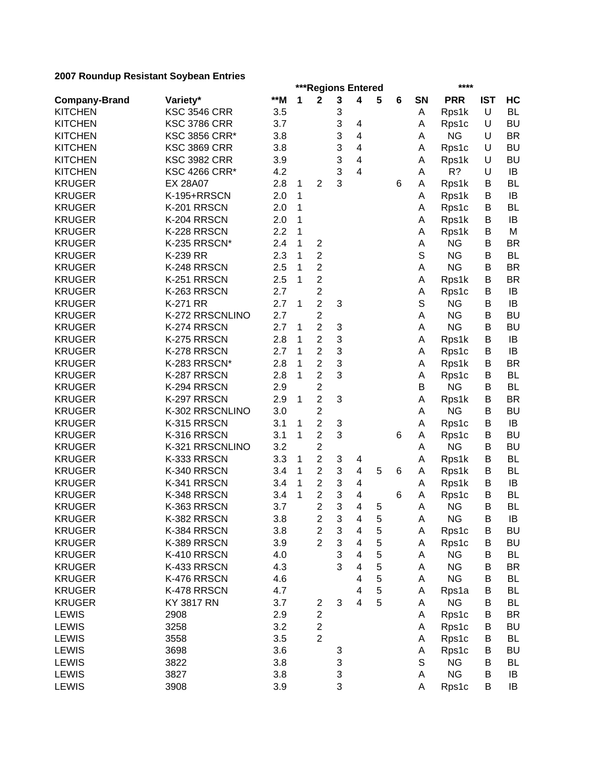|                      |                      |       |   | ***Regions Entered                        |                           |                         |   |   |             | ****               |            |           |
|----------------------|----------------------|-------|---|-------------------------------------------|---------------------------|-------------------------|---|---|-------------|--------------------|------------|-----------|
| <b>Company-Brand</b> | Variety*             | $*$ M | 1 | $\mathbf 2$                               | 3                         | $\overline{\mathbf{4}}$ | 5 | 6 | <b>SN</b>   | <b>PRR</b>         | <b>IST</b> | HC        |
| <b>KITCHEN</b>       | <b>KSC 3546 CRR</b>  | 3.5   |   |                                           | 3                         |                         |   |   | Α           | Rps1k              | U          | <b>BL</b> |
| <b>KITCHEN</b>       | <b>KSC 3786 CRR</b>  | 3.7   |   |                                           | 3                         | 4                       |   |   | A           | Rps1c              | U          | <b>BU</b> |
| <b>KITCHEN</b>       | <b>KSC 3856 CRR*</b> | 3.8   |   |                                           | 3                         | 4                       |   |   | Α           | <b>NG</b>          | U          | <b>BR</b> |
| <b>KITCHEN</b>       | <b>KSC 3869 CRR</b>  | 3.8   |   |                                           | 3                         | $\overline{4}$          |   |   | A           | Rps1c              | U          | <b>BU</b> |
| <b>KITCHEN</b>       | <b>KSC 3982 CRR</b>  | 3.9   |   |                                           | 3                         | $\overline{\mathbf{4}}$ |   |   | Α           | Rps1k              | U          | <b>BU</b> |
| <b>KITCHEN</b>       | <b>KSC 4266 CRR*</b> | 4.2   |   |                                           | 3                         | $\overline{\mathbf{4}}$ |   |   | Α           | R?                 | U          | IB        |
| <b>KRUGER</b>        | <b>EX 28A07</b>      | 2.8   | 1 | $\overline{2}$                            | 3                         |                         |   | 6 | A           | Rps1k              | В          | <b>BL</b> |
| <b>KRUGER</b>        | K-195+RRSCN          | 2.0   | 1 |                                           |                           |                         |   |   | A           | Rps1k              | B          | IB        |
| <b>KRUGER</b>        | K-201 RRSCN          | 2.0   | 1 |                                           |                           |                         |   |   | Α           | Rps1c              | В          | <b>BL</b> |
| <b>KRUGER</b>        | K-204 RRSCN          | 2.0   | 1 |                                           |                           |                         |   |   | A           | Rps1k              | В          | IB        |
| <b>KRUGER</b>        | K-228 RRSCN          | 2.2   | 1 |                                           |                           |                         |   |   | A           | Rps1k              | В          | M         |
| <b>KRUGER</b>        | K-235 RRSCN*         | 2.4   | 1 | $\overline{c}$                            |                           |                         |   |   | A           | <b>NG</b>          | В          | <b>BR</b> |
| <b>KRUGER</b>        | K-239 RR             | 2.3   | 1 | $\overline{2}$                            |                           |                         |   |   | S           | <b>NG</b>          | В          | <b>BL</b> |
| <b>KRUGER</b>        | K-248 RRSCN          | 2.5   | 1 | $\overline{c}$                            |                           |                         |   |   | Α           | <b>NG</b>          | B          | <b>BR</b> |
| <b>KRUGER</b>        | K-251 RRSCN          | 2.5   | 1 | $\overline{2}$                            |                           |                         |   |   | A           | Rps1k              | B          | <b>BR</b> |
| <b>KRUGER</b>        | K-263 RRSCN          | 2.7   |   | $\overline{\mathbf{c}}$                   |                           |                         |   |   | А           | Rps1c              | B          | IB        |
| <b>KRUGER</b>        | <b>K-271 RR</b>      | 2.7   | 1 | $\overline{2}$                            | 3                         |                         |   |   | $\mathbb S$ | <b>NG</b>          | B          | IB        |
| <b>KRUGER</b>        | K-272 RRSCNLINO      | 2.7   |   | $\overline{c}$                            |                           |                         |   |   | Α           | <b>NG</b>          | B          | <b>BU</b> |
| <b>KRUGER</b>        | K-274 RRSCN          | 2.7   | 1 | $\overline{2}$                            | 3                         |                         |   |   | Α           | <b>NG</b>          | B          | <b>BU</b> |
| <b>KRUGER</b>        | K-275 RRSCN          | 2.8   | 1 | $\overline{c}$                            | 3                         |                         |   |   | Α           | Rps1k              | B          | IB        |
| <b>KRUGER</b>        | K-278 RRSCN          | 2.7   | 1 | $\overline{2}$                            | 3                         |                         |   |   | A           | Rps1c              | В          | IB        |
| <b>KRUGER</b>        | K-283 RRSCN*         | 2.8   | 1 | $\overline{c}$                            | 3                         |                         |   |   | Α           | Rps1k              | B          | <b>BR</b> |
| <b>KRUGER</b>        | K-287 RRSCN          | 2.8   | 1 | $\overline{2}$                            | 3                         |                         |   |   | A           | Rps1c              | B          | <b>BL</b> |
| <b>KRUGER</b>        | K-294 RRSCN          | 2.9   |   | $\overline{\mathbf{c}}$                   |                           |                         |   |   | B           | <b>NG</b>          | B          | <b>BL</b> |
| <b>KRUGER</b>        | K-297 RRSCN          | 2.9   | 1 | $\overline{2}$                            | 3                         |                         |   |   | А           | Rps1k              | B          | <b>BR</b> |
| <b>KRUGER</b>        | K-302 RRSCNLINO      | 3.0   |   | $\overline{c}$                            |                           |                         |   |   | А           | <b>NG</b>          | В          | <b>BU</b> |
| <b>KRUGER</b>        | K-315 RRSCN          | 3.1   | 1 | $\overline{c}$                            | 3                         |                         |   |   | A           | Rps1c              | В          | IB        |
| <b>KRUGER</b>        | K-316 RRSCN          | 3.1   | 1 | $\overline{2}$                            | 3                         |                         |   | 6 | Α           | Rps1c              | В          | <b>BU</b> |
| <b>KRUGER</b>        | K-321 RRSCNLINO      | 3.2   |   | $\overline{2}$                            |                           |                         |   |   | A           | <b>NG</b>          | B          | <b>BU</b> |
| <b>KRUGER</b>        | K-333 RRSCN          | 3.3   | 1 | $\overline{2}$                            | 3                         | 4                       |   |   | Α           | Rps1k              | В          | <b>BL</b> |
| <b>KRUGER</b>        | K-340 RRSCN          | 3.4   | 1 | $\overline{2}$                            | 3                         | 4                       | 5 | 6 | Α           | Rps1k              | В          | <b>BL</b> |
| <b>KRUGER</b>        | K-341 RRSCN          | 3.4   | 1 | $\overline{2}$                            | 3                         | 4                       |   |   | Α           | Rps1k              | В          | IB        |
| <b>KRUGER</b>        | K-348 RRSCN          | 3.4   | 1 | $\overline{c}$                            | 3                         | $\overline{4}$          |   | 6 | Α           | Rps1c              | B          | <b>BL</b> |
| <b>KRUGER</b>        | K-363 RRSCN          | 3.7   |   | $\overline{c}$                            | 3                         | 4                       | 5 |   | Α           | <b>NG</b>          | B          | <b>BL</b> |
| <b>KRUGER</b>        | K-382 RRSCN          | 3.8   |   | $\overline{\mathbf{c}}$                   | $\ensuremath{\mathsf{3}}$ | 4                       | 5 |   | Α           | <b>NG</b>          | B          | IB        |
| <b>KRUGER</b>        | K-384 RRSCN          | 3.8   |   | $\overline{c}$                            | 3                         | 4                       | 5 |   | Α           | Rps1c              | Β          | <b>BU</b> |
| <b>KRUGER</b>        | K-389 RRSCN          | 3.9   |   | $\overline{2}$                            | 3                         | $\overline{\mathbf{4}}$ | 5 |   | Α           | Rps1c              | B          | <b>BU</b> |
| <b>KRUGER</b>        | K-410 RRSCN          | 4.0   |   |                                           | 3                         | 4                       | 5 |   | Α           | <b>NG</b>          | В          | <b>BL</b> |
| <b>KRUGER</b>        | K-433 RRSCN          | 4.3   |   |                                           | 3                         | 4                       | 5 |   | Α           | <b>NG</b>          | B          | <b>BR</b> |
| <b>KRUGER</b>        | K-476 RRSCN          | 4.6   |   |                                           |                           | 4                       | 5 |   | Α           | <b>NG</b>          | В          | <b>BL</b> |
| <b>KRUGER</b>        | K-478 RRSCN          | 4.7   |   |                                           |                           | 4                       | 5 |   |             |                    | B          | <b>BL</b> |
|                      | KY 3817 RN           |       |   |                                           | 3                         | 4                       | 5 |   | Α           | Rps1a<br><b>NG</b> |            |           |
| <b>KRUGER</b>        |                      | 3.7   |   | $\overline{\mathbf{c}}$                   |                           |                         |   |   | A           |                    | B          | BL        |
| <b>LEWIS</b>         | 2908                 | 2.9   |   | $\overline{\mathbf{c}}$<br>$\overline{c}$ |                           |                         |   |   | Α           | Rps1c              | В          | BR        |
| <b>LEWIS</b>         | 3258                 | 3.2   |   |                                           |                           |                         |   |   | Α           | Rps1c              | B          | <b>BU</b> |
| <b>LEWIS</b>         | 3558                 | 3.5   |   | $\overline{2}$                            |                           |                         |   |   | Α           | Rps1c              | В          | <b>BL</b> |
| <b>LEWIS</b>         | 3698                 | 3.6   |   |                                           | 3                         |                         |   |   | Α           | Rps1c              | В          | <b>BU</b> |
| <b>LEWIS</b>         | 3822                 | 3.8   |   |                                           | 3                         |                         |   |   | S           | <b>NG</b>          | B          | <b>BL</b> |
| <b>LEWIS</b>         | 3827                 | 3.8   |   |                                           | 3                         |                         |   |   | Α           | <b>NG</b>          | B          | IB        |
| <b>LEWIS</b>         | 3908                 | 3.9   |   |                                           | 3                         |                         |   |   | Α           | Rps1c              | B          | IB        |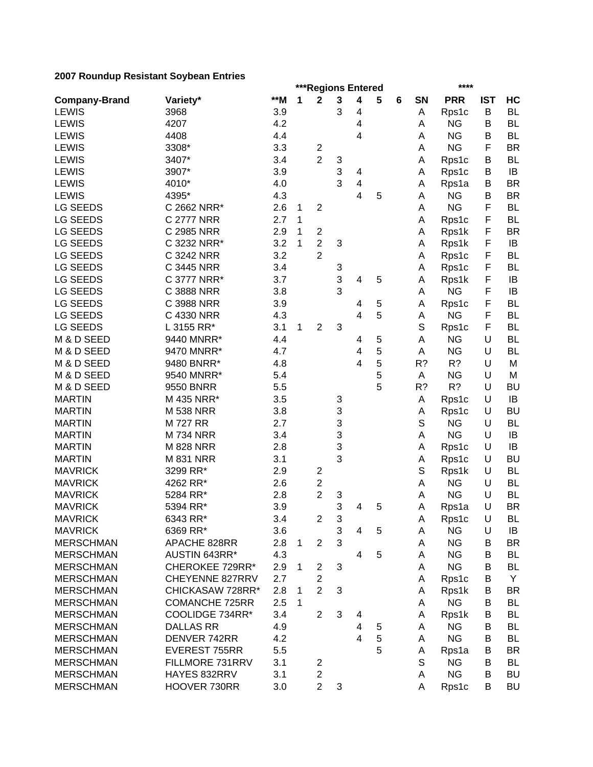|                                      |                                     |       |   |                                  |   | ***Regions Entered      |   |   |        | ****               |            |           |
|--------------------------------------|-------------------------------------|-------|---|----------------------------------|---|-------------------------|---|---|--------|--------------------|------------|-----------|
| <b>Company-Brand</b>                 | Variety*                            | $**M$ | 1 | $\mathbf 2$                      | 3 | 4                       | 5 | 6 | SN     | <b>PRR</b>         | <b>IST</b> | HC        |
| <b>LEWIS</b>                         | 3968                                | 3.9   |   |                                  | 3 | 4                       |   |   | Α      | Rps1c              | B          | <b>BL</b> |
| <b>LEWIS</b>                         | 4207                                | 4.2   |   |                                  |   | 4                       |   |   | Α      | <b>NG</b>          | В          | <b>BL</b> |
| <b>LEWIS</b>                         | 4408                                | 4.4   |   |                                  |   | 4                       |   |   | Α      | <b>NG</b>          | B          | <b>BL</b> |
| <b>LEWIS</b>                         | 3308*                               | 3.3   |   | $\boldsymbol{2}$                 |   |                         |   |   | А      | <b>NG</b>          | F          | <b>BR</b> |
| <b>LEWIS</b>                         | 3407*                               | 3.4   |   | $\overline{2}$                   | 3 |                         |   |   | Α      | Rps1c              | В          | <b>BL</b> |
| LEWIS                                | 3907*                               | 3.9   |   |                                  | 3 | 4                       |   |   | Α      | Rps1c              | В          | IB        |
| <b>LEWIS</b>                         | 4010*                               | 4.0   |   |                                  | 3 | $\overline{\mathbf{4}}$ |   |   | Α      | Rps1a              | В          | <b>BR</b> |
| <b>LEWIS</b>                         | 4395*                               | 4.3   |   |                                  |   | $\overline{4}$          | 5 |   | А      | <b>NG</b>          | B          | <b>BR</b> |
| <b>LG SEEDS</b>                      | C 2662 NRR*                         | 2.6   | 1 | $\overline{\mathbf{c}}$          |   |                         |   |   | А      | <b>NG</b>          | F          | <b>BL</b> |
| <b>LG SEEDS</b>                      | C 2777 NRR                          | 2.7   | 1 |                                  |   |                         |   |   | Α      | Rps1c              | F          | <b>BL</b> |
| <b>LG SEEDS</b>                      | C 2985 NRR                          | 2.9   | 1 | 2                                |   |                         |   |   | А      | Rps1k              | F          | <b>BR</b> |
| <b>LG SEEDS</b>                      | C 3232 NRR*                         | 3.2   | 1 | $\overline{c}$                   | 3 |                         |   |   | А      | Rps1k              | F          | IB        |
| <b>LG SEEDS</b>                      | C 3242 NRR                          | 3.2   |   | $\overline{2}$                   |   |                         |   |   | А      | Rps1c              | F          | <b>BL</b> |
| <b>LG SEEDS</b>                      | C 3445 NRR                          | 3.4   |   |                                  | 3 |                         |   |   | Α      | Rps1c              | F          | <b>BL</b> |
| <b>LG SEEDS</b>                      | C 3777 NRR*                         | 3.7   |   |                                  | 3 | 4                       | 5 |   | Α      | Rps1k              | F          | IB        |
| <b>LG SEEDS</b>                      | C 3888 NRR                          | 3.8   |   |                                  | 3 |                         |   |   | Α      | <b>NG</b>          | F          | IB        |
| <b>LG SEEDS</b>                      | C 3988 NRR                          | 3.9   |   |                                  |   | 4                       | 5 |   | Α      | Rps1c              | F          | <b>BL</b> |
| <b>LG SEEDS</b>                      | C 4330 NRR                          | 4.3   |   |                                  |   | 4                       | 5 |   | Α      | <b>NG</b>          | F          | <b>BL</b> |
| <b>LG SEEDS</b>                      | L 3155 RR*                          | 3.1   | 1 | $\overline{2}$                   | 3 |                         |   |   | S      | Rps1c              | F          | <b>BL</b> |
| M & D SEED                           | 9440 MNRR*                          | 4.4   |   |                                  |   | 4                       | 5 |   | А      | <b>NG</b>          | U          | <b>BL</b> |
| M & D SEED                           | 9470 MNRR*                          | 4.7   |   |                                  |   | $\overline{\mathbf{4}}$ | 5 |   | A      | <b>NG</b>          | U          | <b>BL</b> |
| M & D SEED                           | 9480 BNRR*                          | 4.8   |   |                                  |   | 4                       | 5 |   | R?     | R?                 | U          | M         |
| M & D SEED                           | 9540 MNRR*                          | 5.4   |   |                                  |   |                         | 5 |   | A      | <b>NG</b>          | U          | M         |
| M & D SEED                           | 9550 BNRR                           | 5.5   |   |                                  |   |                         | 5 |   | R?     | R?                 | U          | <b>BU</b> |
| <b>MARTIN</b>                        | M 435 NRR*                          | 3.5   |   |                                  | 3 |                         |   |   | Α      | Rps1c              | U          | IB        |
| <b>MARTIN</b>                        | <b>M 538 NRR</b>                    | 3.8   |   |                                  | 3 |                         |   |   | Α      | Rps1c              | U          | <b>BU</b> |
| <b>MARTIN</b>                        | <b>M727 RR</b>                      | 2.7   |   |                                  | 3 |                         |   |   | S      | <b>NG</b>          | U          | <b>BL</b> |
| <b>MARTIN</b>                        | <b>M734 NRR</b>                     | 3.4   |   |                                  | 3 |                         |   |   | А      | <b>NG</b>          | U          | IB        |
| <b>MARTIN</b>                        | <b>M 828 NRR</b>                    | 2.8   |   |                                  | 3 |                         |   |   | Α      | Rps1c              | U          | IB        |
| <b>MARTIN</b>                        | <b>M 831 NRR</b>                    | 3.1   |   |                                  | 3 |                         |   |   | Α      | Rps1c              | U          | <b>BU</b> |
| <b>MAVRICK</b>                       | 3299 RR*                            | 2.9   |   | 2                                |   |                         |   |   | S      | Rps1k              | U          | <b>BL</b> |
| <b>MAVRICK</b>                       | 4262 RR*                            | 2.6   |   | $\overline{c}$                   |   |                         |   |   | Α      | <b>NG</b>          | U          | <b>BL</b> |
| <b>MAVRICK</b>                       | 5284 RR*                            | 2.8   |   | $\overline{c}$                   | 3 |                         |   |   | Α      | <b>NG</b>          | U          | <b>BL</b> |
| <b>MAVRICK</b>                       | 5394 RR*                            | 3.9   |   |                                  | 3 | 4                       | 5 |   | Α      | Rps1a              | U          | <b>BR</b> |
| <b>MAVRICK</b>                       | 6343 RR*                            | 3.4   |   | $\overline{c}$                   | 3 |                         |   |   | A      |                    | U          | <b>BL</b> |
| <b>MAVRICK</b>                       | 6369 RR*                            | 3.6   |   |                                  | 3 | 4                       | 5 |   | Α      | Rps1c<br><b>NG</b> | U          | IB        |
| <b>MERSCHMAN</b>                     | APACHE 828RR                        | 2.8   | 1 | $\overline{2}$                   | 3 |                         |   |   |        | <b>NG</b>          | B          | <b>BR</b> |
| <b>MERSCHMAN</b>                     | AUSTIN 643RR*                       | 4.3   |   |                                  |   | 4                       | 5 |   | А<br>А | <b>NG</b>          | В          | <b>BL</b> |
|                                      |                                     |       |   |                                  |   |                         |   |   |        | <b>NG</b>          |            |           |
| <b>MERSCHMAN</b>                     | CHEROKEE 729RR*                     | 2.9   | 1 | $\overline{c}$                   | 3 |                         |   |   | Α      |                    | В          | <b>BL</b> |
| <b>MERSCHMAN</b><br><b>MERSCHMAN</b> | CHEYENNE 827RRV<br>CHICKASAW 728RR* | 2.7   |   | $\overline{c}$<br>$\overline{2}$ |   |                         |   |   | А      | Rps1c              | B          | Y         |
|                                      |                                     | 2.8   | 1 |                                  | 3 |                         |   |   | Α      | Rps1k              | B          | <b>BR</b> |
| <b>MERSCHMAN</b>                     | <b>COMANCHE 725RR</b>               | 2.5   | 1 |                                  |   |                         |   |   | A      | <b>NG</b>          | В          | <b>BL</b> |
| <b>MERSCHMAN</b>                     | COOLIDGE 734RR*                     | 3.4   |   | $\overline{2}$                   | 3 | 4                       |   |   | Α      | Rps1k              | B          | BL        |
| <b>MERSCHMAN</b>                     | <b>DALLAS RR</b>                    | 4.9   |   |                                  |   | 4                       | 5 |   | A      | <b>NG</b>          | В          | <b>BL</b> |
| <b>MERSCHMAN</b>                     | DENVER 742RR                        | 4.2   |   |                                  |   | $\overline{4}$          | 5 |   | A      | <b>NG</b>          | В          | BL        |
| <b>MERSCHMAN</b>                     | EVEREST 755RR                       | 5.5   |   |                                  |   |                         | 5 |   | Α      | Rps1a              | В          | <b>BR</b> |
| <b>MERSCHMAN</b>                     | FILLMORE 731RRV                     | 3.1   |   | 2                                |   |                         |   |   | S      | <b>NG</b>          | В          | <b>BL</b> |
| <b>MERSCHMAN</b>                     | HAYES 832RRV                        | 3.1   |   | $\overline{\mathbf{c}}$          |   |                         |   |   | A      | <b>NG</b>          | B          | <b>BU</b> |
| <b>MERSCHMAN</b>                     | HOOVER 730RR                        | 3.0   |   | $\overline{c}$                   | 3 |                         |   |   | A      | Rps1c              | В          | <b>BU</b> |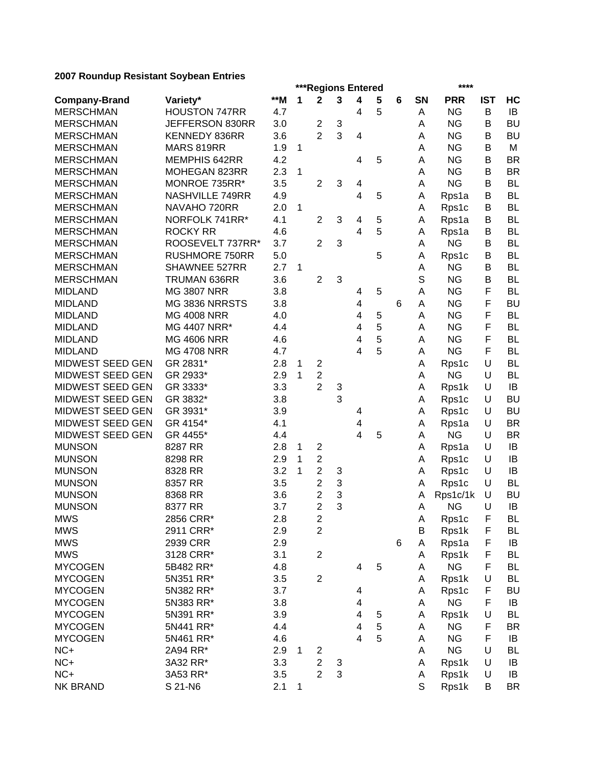|                      |                       |       |              |                         |                           | ***Regions Entered      |   |   |             | ****       |            |           |
|----------------------|-----------------------|-------|--------------|-------------------------|---------------------------|-------------------------|---|---|-------------|------------|------------|-----------|
| <b>Company-Brand</b> | Variety*              | $**M$ | 1            | $\mathbf 2$             | 3                         | 4                       | 5 | 6 | <b>SN</b>   | <b>PRR</b> | <b>IST</b> | HC        |
| <b>MERSCHMAN</b>     | <b>HOUSTON 747RR</b>  | 4.7   |              |                         |                           | 4                       | 5 |   | A           | <b>NG</b>  | B          | IB        |
| <b>MERSCHMAN</b>     | JEFFERSON 830RR       | 3.0   |              | $\overline{c}$          | $\ensuremath{\mathsf{3}}$ |                         |   |   | Α           | <b>NG</b>  | B          | <b>BU</b> |
| <b>MERSCHMAN</b>     | KENNEDY 836RR         | 3.6   |              | $\overline{2}$          | 3                         | 4                       |   |   | A           | <b>NG</b>  | B          | <b>BU</b> |
| <b>MERSCHMAN</b>     | MARS 819RR            | 1.9   | 1            |                         |                           |                         |   |   | A           | <b>NG</b>  | B          | M         |
| <b>MERSCHMAN</b>     | MEMPHIS 642RR         | 4.2   |              |                         |                           | 4                       | 5 |   | A           | <b>NG</b>  | B          | <b>BR</b> |
| <b>MERSCHMAN</b>     | MOHEGAN 823RR         | 2.3   | $\mathbf{1}$ |                         |                           |                         |   |   | A           | <b>NG</b>  | B          | <b>BR</b> |
| <b>MERSCHMAN</b>     | MONROE 735RR*         | 3.5   |              | $\overline{2}$          | 3                         | 4                       |   |   | A           | <b>NG</b>  | B          | <b>BL</b> |
| <b>MERSCHMAN</b>     | NASHVILLE 749RR       | 4.9   |              |                         |                           | $\overline{\mathbf{4}}$ | 5 |   | Α           | Rps1a      | B          | <b>BL</b> |
| <b>MERSCHMAN</b>     | NAVAHO 720RR          | 2.0   | 1            |                         |                           |                         |   |   | Α           | Rps1c      | B          | <b>BL</b> |
| <b>MERSCHMAN</b>     | NORFOLK 741RR*        | 4.1   |              | $\overline{2}$          | 3                         | 4                       | 5 |   | Α           | Rps1a      | В          | <b>BL</b> |
| <b>MERSCHMAN</b>     | <b>ROCKY RR</b>       | 4.6   |              |                         |                           | 4                       | 5 |   | A           | Rps1a      | В          | <b>BL</b> |
| <b>MERSCHMAN</b>     | ROOSEVELT 737RR*      | 3.7   |              | $\overline{2}$          | 3                         |                         |   |   | A           | <b>NG</b>  | B          | <b>BL</b> |
| <b>MERSCHMAN</b>     | <b>RUSHMORE 750RR</b> | 5.0   |              |                         |                           |                         | 5 |   | Α           | Rps1c      | В          | <b>BL</b> |
| <b>MERSCHMAN</b>     | SHAWNEE 527RR         | 2.7   | 1            |                         |                           |                         |   |   | Α           | <b>NG</b>  | B          | <b>BL</b> |
| <b>MERSCHMAN</b>     | TRUMAN 636RR          | 3.6   |              | $\overline{2}$          | 3                         |                         |   |   | S           | <b>NG</b>  | B          | <b>BL</b> |
| <b>MIDLAND</b>       | <b>MG 3807 NRR</b>    | 3.8   |              |                         |                           | 4                       | 5 |   | Α           | <b>NG</b>  | F          | <b>BL</b> |
| <b>MIDLAND</b>       | MG 3836 NRRSTS        | 3.8   |              |                         |                           | 4                       |   | 6 | A           | <b>NG</b>  | F          | <b>BU</b> |
| <b>MIDLAND</b>       | <b>MG 4008 NRR</b>    | 4.0   |              |                         |                           | 4                       | 5 |   | Α           | <b>NG</b>  | F          | <b>BL</b> |
| <b>MIDLAND</b>       | MG 4407 NRR*          | 4.4   |              |                         |                           | 4                       | 5 |   | А           | <b>NG</b>  | F          | <b>BL</b> |
| <b>MIDLAND</b>       | <b>MG 4606 NRR</b>    | 4.6   |              |                         |                           | 4                       | 5 |   | Α           | <b>NG</b>  | F          | <b>BL</b> |
| <b>MIDLAND</b>       | <b>MG 4708 NRR</b>    | 4.7   |              |                         |                           | 4                       | 5 |   | Α           | <b>NG</b>  | F          | <b>BL</b> |
| MIDWEST SEED GEN     | GR 2831*              | 2.8   | 1            | $\mathbf{2}$            |                           |                         |   |   | Α           | Rps1c      | U          | <b>BL</b> |
| MIDWEST SEED GEN     | GR 2933*              | 2.9   | 1            | $\overline{c}$          |                           |                         |   |   | Α           | <b>NG</b>  | U          | <b>BL</b> |
| MIDWEST SEED GEN     | GR 3333*              | 3.3   |              | $\overline{2}$          | 3                         |                         |   |   | Α           | Rps1k      | U          | IB        |
| MIDWEST SEED GEN     | GR 3832*              | 3.8   |              |                         | 3                         |                         |   |   | Α           | Rps1c      | U          | <b>BU</b> |
| MIDWEST SEED GEN     | GR 3931*              | 3.9   |              |                         |                           | 4                       |   |   | Α           | Rps1c      | U          | <b>BU</b> |
| MIDWEST SEED GEN     | GR 4154*              | 4.1   |              |                         |                           | 4                       |   |   | Α           | Rps1a      | U          | <b>BR</b> |
| MIDWEST SEED GEN     | GR 4455*              | 4.4   |              |                         |                           | 4                       | 5 |   | A           | <b>NG</b>  | U          | <b>BR</b> |
| <b>MUNSON</b>        | 8287 RR               | 2.8   | 1            | $\overline{c}$          |                           |                         |   |   | A           | Rps1a      | U          | IB        |
| <b>MUNSON</b>        | 8298 RR               | 2.9   | 1            | $\boldsymbol{2}$        |                           |                         |   |   | Α           | Rps1c      | U          | IB        |
| <b>MUNSON</b>        | 8328 RR               | 3.2   | 1            | $\overline{c}$          | 3                         |                         |   |   | Α           | Rps1c      | U          | IB        |
| <b>MUNSON</b>        | 8357 RR               | 3.5   |              | $\overline{c}$          | 3                         |                         |   |   | Α           | Rps1c      | U          | <b>BL</b> |
| <b>MUNSON</b>        | 8368 RR               | 3.6   |              | 2                       | 3                         |                         |   |   | Α           | Rps1c/1k   | U          | <b>BU</b> |
| <b>MUNSON</b>        | 8377 RR               | 3.7   |              | 2                       | 3                         |                         |   |   | Α           | <b>NG</b>  | U          | IB        |
| <b>MWS</b>           | 2856 CRR*             | 2.8   |              | $\overline{\mathbf{c}}$ |                           |                         |   |   | A           | Rps1c      | F          | BL        |
| <b>MWS</b>           | 2911 CRR*             | 2.9   |              | $\overline{2}$          |                           |                         |   |   | Β           | Rps1k      | F          | BL        |
| <b>MWS</b>           | 2939 CRR              | 2.9   |              |                         |                           |                         |   | 6 | Α           | Rps1a      | F          | IB        |
| <b>MWS</b>           | 3128 CRR*             | 3.1   |              | $\overline{2}$          |                           |                         |   |   | Α           | Rps1k      | F          | <b>BL</b> |
| <b>MYCOGEN</b>       | 5B482 RR*             | 4.8   |              |                         |                           | 4                       | 5 |   | Α           | <b>NG</b>  | F          | <b>BL</b> |
| <b>MYCOGEN</b>       | 5N351 RR*             | 3.5   |              | $\overline{2}$          |                           |                         |   |   | Α           | Rps1k      | U          | <b>BL</b> |
| <b>MYCOGEN</b>       | 5N382 RR*             | 3.7   |              |                         |                           | 4                       |   |   | Α           | Rps1c      | F          | <b>BU</b> |
| <b>MYCOGEN</b>       | 5N383 RR*             | 3.8   |              |                         |                           | 4                       |   |   | Α           | <b>NG</b>  | F          | IB        |
| <b>MYCOGEN</b>       | 5N391 RR*             | 3.9   |              |                         |                           | 4                       | 5 |   | Α           | Rps1k      | U          | <b>BL</b> |
| <b>MYCOGEN</b>       | 5N441 RR*             | 4.4   |              |                         |                           | 4                       | 5 |   | Α           | <b>NG</b>  | F          | <b>BR</b> |
| <b>MYCOGEN</b>       | 5N461 RR*             | 4.6   |              |                         |                           | $\overline{\mathbf{4}}$ | 5 |   | Α           | <b>NG</b>  | F          | IB        |
| NC+                  | 2A94 RR*              | 2.9   | 1            | $\overline{c}$          |                           |                         |   |   | Α           | <b>NG</b>  | U          | <b>BL</b> |
| NC+                  | 3A32 RR*              | 3.3   |              | $\overline{c}$          | 3                         |                         |   |   | Α           | Rps1k      | U          | IB        |
| $NC+$                | 3A53 RR*              | 3.5   |              | $\overline{2}$          | 3                         |                         |   |   | Α           | Rps1k      | U          | IB        |
| <b>NK BRAND</b>      | S 21-N6               | 2.1   | 1            |                         |                           |                         |   |   | $\mathsf S$ | Rps1k      | B          | <b>BR</b> |
|                      |                       |       |              |                         |                           |                         |   |   |             |            |            |           |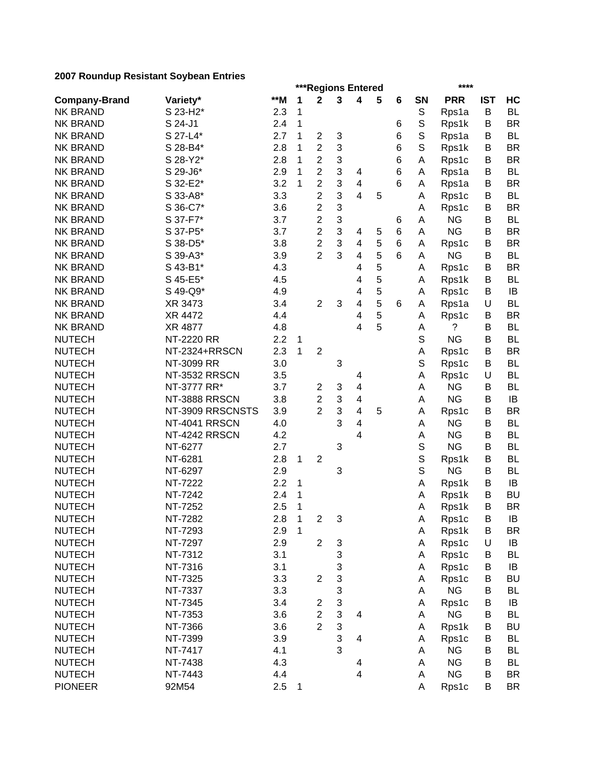|                                |                  |     |              |                         |   | ***Regions Entered      |   |   |             | ****       |            |           |
|--------------------------------|------------------|-----|--------------|-------------------------|---|-------------------------|---|---|-------------|------------|------------|-----------|
| <b>Company-Brand</b>           | Variety*         | **M | 1            | $\mathbf 2$             | 3 | 4                       | 5 | 6 | SN          | <b>PRR</b> | <b>IST</b> | HC        |
| <b>NK BRAND</b>                | S 23-H2*         | 2.3 | 1            |                         |   |                         |   |   | S           | Rps1a      | B          | <b>BL</b> |
| <b>NK BRAND</b>                | S 24-J1          | 2.4 | 1            |                         |   |                         |   | 6 | S           | Rps1k      | B          | <b>BR</b> |
| <b>NK BRAND</b>                | S 27-L4*         | 2.7 | 1            | $\boldsymbol{2}$        | 3 |                         |   | 6 | $\mathbb S$ | Rps1a      | B          | <b>BL</b> |
| <b>NK BRAND</b>                | S 28-B4*         | 2.8 | 1            | $\overline{2}$          | 3 |                         |   | 6 | $\mathbb S$ | Rps1k      | B          | <b>BR</b> |
| <b>NK BRAND</b>                | S 28-Y2*         | 2.8 | 1            | $\overline{c}$          | 3 |                         |   | 6 | А           | Rps1c      | В          | <b>BR</b> |
| <b>NK BRAND</b>                | S 29-J6*         | 2.9 | 1            | $\overline{c}$          | 3 | 4                       |   | 6 | A           | Rps1a      | B          | <b>BL</b> |
| <b>NK BRAND</b>                | S 32-E2*         | 3.2 | 1            | $\overline{c}$          | 3 | $\overline{\mathbf{4}}$ |   | 6 | A           | Rps1a      | B          | <b>BR</b> |
| <b>NK BRAND</b>                | S 33-A8*         | 3.3 |              | $\overline{2}$          | 3 | $\overline{\mathbf{4}}$ | 5 |   | A           | Rps1c      | B          | <b>BL</b> |
| <b>NK BRAND</b>                | S 36-C7*         | 3.6 |              | 2                       | 3 |                         |   |   | Α           | Rps1c      | B          | <b>BR</b> |
| <b>NK BRAND</b>                | S 37-F7*         | 3.7 |              | $\overline{2}$          | 3 |                         |   | 6 | A           | <b>NG</b>  | B          | <b>BL</b> |
| <b>NK BRAND</b>                | S 37-P5*         | 3.7 |              | 2                       | 3 | 4                       | 5 | 6 | A           | <b>NG</b>  | В          | <b>BR</b> |
| <b>NK BRAND</b>                | S 38-D5*         | 3.8 |              | $\overline{2}$          | 3 | 4                       | 5 | 6 | A           | Rps1c      | В          | <b>BR</b> |
| <b>NK BRAND</b>                | S 39-A3*         | 3.9 |              | 2                       | 3 | 4                       | 5 | 6 | A           | <b>NG</b>  | B          | <b>BL</b> |
| <b>NK BRAND</b>                | S 43-B1*         | 4.3 |              |                         |   | 4                       | 5 |   | A           | Rps1c      | В          | <b>BR</b> |
| <b>NK BRAND</b>                | S 45-E5*         | 4.5 |              |                         |   | 4                       | 5 |   | A           | Rps1k      | В          | <b>BL</b> |
| <b>NK BRAND</b>                | S 49-Q9*         | 4.9 |              |                         |   | 4                       | 5 |   | A           | Rps1c      | B          | IB        |
| <b>NK BRAND</b>                | XR 3473          | 3.4 |              | $\overline{2}$          | 3 | 4                       | 5 | 6 | Α           | Rps1a      | U          | <b>BL</b> |
| <b>NK BRAND</b>                | XR 4472          | 4.4 |              |                         |   | 4                       | 5 |   | Α           | Rps1c      | B          | <b>BR</b> |
| <b>NK BRAND</b>                | XR 4877          | 4.8 |              |                         |   | 4                       | 5 |   | Α           | ?          | B          | <b>BL</b> |
| <b>NUTECH</b>                  | NT-2220 RR       | 2.2 | 1            |                         |   |                         |   |   | S           | <b>NG</b>  | B          | <b>BL</b> |
| <b>NUTECH</b>                  | NT-2324+RRSCN    | 2.3 | 1            | $\overline{c}$          |   |                         |   |   | Α           | Rps1c      | B          | <b>BR</b> |
| <b>NUTECH</b>                  | NT-3099 RR       | 3.0 |              |                         | 3 |                         |   |   | S           | Rps1c      | B          | <b>BL</b> |
| <b>NUTECH</b>                  | NT-3532 RRSCN    | 3.5 |              |                         |   | 4                       |   |   | Α           | Rps1c      | U          | <b>BL</b> |
| <b>NUTECH</b>                  | NT-3777 RR*      | 3.7 |              | $\overline{c}$          | 3 | $\overline{\mathbf{4}}$ |   |   | Α           | <b>NG</b>  | B          | <b>BL</b> |
| <b>NUTECH</b>                  | NT-3888 RRSCN    | 3.8 |              | $\overline{c}$          | 3 | 4                       |   |   | Α           | <b>NG</b>  | B          | IB        |
| <b>NUTECH</b>                  | NT-3909 RRSCNSTS | 3.9 |              | $\overline{2}$          | 3 | $\overline{\mathbf{4}}$ | 5 |   | Α           | Rps1c      | B          | <b>BR</b> |
| <b>NUTECH</b>                  | NT-4041 RRSCN    | 4.0 |              |                         | 3 | 4                       |   |   | Α           | <b>NG</b>  | В          | <b>BL</b> |
| <b>NUTECH</b>                  | NT-4242 RRSCN    | 4.2 |              |                         |   | 4                       |   |   | Α           | <b>NG</b>  | B          | <b>BL</b> |
| <b>NUTECH</b>                  | NT-6277          | 2.7 |              |                         | 3 |                         |   |   | S           | <b>NG</b>  | B          | <b>BL</b> |
| <b>NUTECH</b>                  | NT-6281          | 2.8 | 1            | $\overline{2}$          |   |                         |   |   | S           | Rps1k      | В          | <b>BL</b> |
| <b>NUTECH</b>                  | NT-6297          | 2.9 |              |                         | 3 |                         |   |   | S           | <b>NG</b>  | В          | <b>BL</b> |
| <b>NUTECH</b>                  | NT-7222          | 2.2 |              |                         |   |                         |   |   |             | Rps1k      | B          | IB        |
| <b>NUTECH</b>                  | NT-7242          | 2.4 | 1<br>1       |                         |   |                         |   |   | A           |            | B          | <b>BU</b> |
| <b>NUTECH</b>                  | NT-7252          | 2.5 | 1            |                         |   |                         |   |   | A<br>Α      | Rps1k      | B          | <b>BR</b> |
|                                | NT-7282          | 2.8 |              | $\overline{c}$          |   |                         |   |   |             | Rps1k      |            |           |
| <b>NUTECH</b><br><b>NUTECH</b> |                  |     | $\mathbf{1}$ |                         | 3 |                         |   |   | А           | Rps1c      | В          | IB        |
|                                | NT-7293          | 2.9 | $\mathbf 1$  |                         |   |                         |   |   | Α           | Rps1k      | B          | <b>BR</b> |
| <b>NUTECH</b>                  | NT-7297          | 2.9 |              | $\overline{2}$          | 3 |                         |   |   | Α           | Rps1c      | U          | IB        |
| <b>NUTECH</b>                  | NT-7312          | 3.1 |              |                         | 3 |                         |   |   | Α           | Rps1c      | В          | <b>BL</b> |
| <b>NUTECH</b>                  | NT-7316          | 3.1 |              |                         | 3 |                         |   |   | Α           | Rps1c      | B          | IB        |
| <b>NUTECH</b>                  | NT-7325          | 3.3 |              | $\overline{c}$          | 3 |                         |   |   | Α           | Rps1c      | B          | <b>BU</b> |
| <b>NUTECH</b>                  | NT-7337          | 3.3 |              |                         | 3 |                         |   |   | A           | <b>NG</b>  | B          | <b>BL</b> |
| <b>NUTECH</b>                  | NT-7345          | 3.4 |              | $\overline{\mathbf{c}}$ | 3 |                         |   |   | Α           | Rps1c      | B          | IB        |
| <b>NUTECH</b>                  | NT-7353          | 3.6 |              | $\overline{c}$          | 3 | 4                       |   |   | Α           | <b>NG</b>  | B          | <b>BL</b> |
| <b>NUTECH</b>                  | NT-7366          | 3.6 |              | $\overline{2}$          | 3 |                         |   |   | Α           | Rps1k      | B          | <b>BU</b> |
| <b>NUTECH</b>                  | NT-7399          | 3.9 |              |                         | 3 | 4                       |   |   | Α           | Rps1c      | B          | <b>BL</b> |
| <b>NUTECH</b>                  | NT-7417          | 4.1 |              |                         | 3 |                         |   |   | A           | <b>NG</b>  | В          | <b>BL</b> |
| <b>NUTECH</b>                  | NT-7438          | 4.3 |              |                         |   | 4                       |   |   | Α           | <b>NG</b>  | В          | <b>BL</b> |
| <b>NUTECH</b>                  | NT-7443          | 4.4 |              |                         |   | 4                       |   |   | A           | <b>NG</b>  | B          | <b>BR</b> |
| <b>PIONEER</b>                 | 92M54            | 2.5 | 1            |                         |   |                         |   |   | Α           | Rps1c      | B          | <b>BR</b> |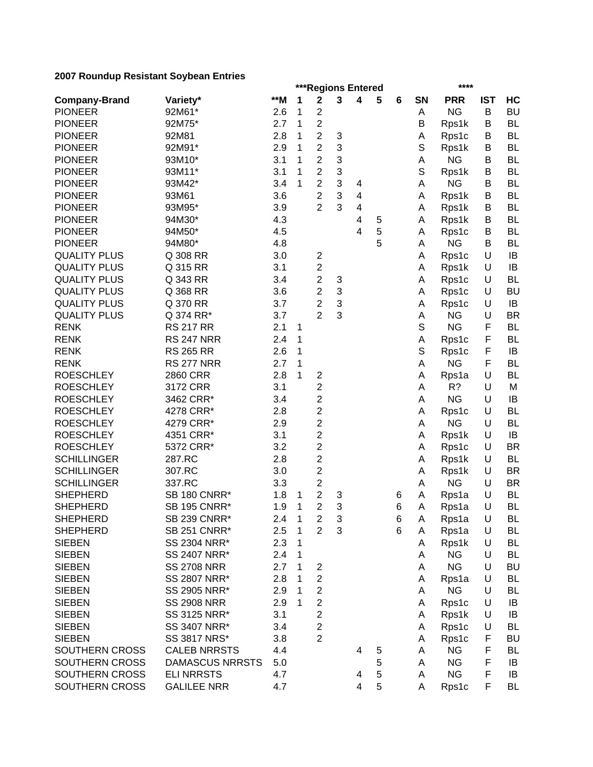|                      |                        |     |              |                              |   | ***Regions Entered      |   |   |             | ****               |            |           |
|----------------------|------------------------|-----|--------------|------------------------------|---|-------------------------|---|---|-------------|--------------------|------------|-----------|
| <b>Company-Brand</b> | Variety*               | **M | 1            | $\mathbf 2$                  | 3 | 4                       | 5 | 6 | SN          | <b>PRR</b>         | <b>IST</b> | HC        |
| <b>PIONEER</b>       | 92M61*                 | 2.6 | 1            | $\overline{c}$               |   |                         |   |   | Α           | <b>NG</b>          | B          | <b>BU</b> |
| <b>PIONEER</b>       | 92M75*                 | 2.7 | 1            | $\overline{c}$               |   |                         |   |   | Β           | Rps1k              | В          | <b>BL</b> |
| <b>PIONEER</b>       | 92M81                  | 2.8 | 1            | $\overline{c}$               | 3 |                         |   |   | Α           | Rps1c              | B          | <b>BL</b> |
| <b>PIONEER</b>       | 92M91*                 | 2.9 | 1            | $\overline{c}$               | 3 |                         |   |   | S           | Rps1k              | В          | <b>BL</b> |
| <b>PIONEER</b>       | 93M10*                 | 3.1 | 1            | $\overline{c}$               | 3 |                         |   |   | Α           | <b>NG</b>          | B          | <b>BL</b> |
| <b>PIONEER</b>       | 93M11*                 | 3.1 | 1            | $\overline{\mathbf{c}}$      | 3 |                         |   |   | S           | Rps1k              | В          | <b>BL</b> |
| <b>PIONEER</b>       | 93M42*                 | 3.4 | 1            | $\overline{c}$               | 3 | 4                       |   |   | A           | <b>NG</b>          | B          | <b>BL</b> |
| <b>PIONEER</b>       | 93M61                  | 3.6 |              | $\overline{\mathbf{c}}$      | 3 | 4                       |   |   | Α           | Rps1k              | В          | <b>BL</b> |
| <b>PIONEER</b>       | 93M95*                 | 3.9 |              | $\overline{2}$               | 3 | $\overline{\mathbf{4}}$ |   |   | Α           | Rps1k              | В          | <b>BL</b> |
| <b>PIONEER</b>       | 94M30*                 | 4.3 |              |                              |   | 4                       | 5 |   | Α           | Rps1k              | В          | <b>BL</b> |
| <b>PIONEER</b>       | 94M50*                 | 4.5 |              |                              |   | 4                       | 5 |   | Α           | Rps1c              | B          | <b>BL</b> |
| <b>PIONEER</b>       | 94M80*                 | 4.8 |              |                              |   |                         | 5 |   | Α           | <b>NG</b>          | В          | <b>BL</b> |
| <b>QUALITY PLUS</b>  | Q 308 RR               | 3.0 |              | 2                            |   |                         |   |   | Α           | Rps1c              | U          | IB        |
| <b>QUALITY PLUS</b>  | Q 315 RR               | 3.1 |              | $\overline{c}$               |   |                         |   |   | Α           | Rps1k              | U          | IB        |
| <b>QUALITY PLUS</b>  | Q 343 RR               | 3.4 |              | $\overline{\mathbf{c}}$      | 3 |                         |   |   | Α           | Rps1c              | U          | <b>BL</b> |
| <b>QUALITY PLUS</b>  | Q 368 RR               | 3.6 |              | $\overline{\mathbf{c}}$      | 3 |                         |   |   | Α           | Rps1c              | U          | <b>BU</b> |
| <b>QUALITY PLUS</b>  | Q 370 RR               | 3.7 |              | $\overline{2}$               | 3 |                         |   |   | Α           | Rps1c              | U          | IB        |
| <b>QUALITY PLUS</b>  | Q 374 RR*              | 3.7 |              | $\overline{2}$               | 3 |                         |   |   | A           | <b>NG</b>          | U          | <b>BR</b> |
| <b>RENK</b>          | <b>RS 217 RR</b>       | 2.1 | 1            |                              |   |                         |   |   | $\mathbb S$ | <b>NG</b>          | F          | <b>BL</b> |
| <b>RENK</b>          | <b>RS 247 NRR</b>      | 2.4 | 1            |                              |   |                         |   |   | Α           | Rps1c              | F          | <b>BL</b> |
| <b>RENK</b>          | <b>RS 265 RR</b>       | 2.6 | 1            |                              |   |                         |   |   | S           | Rps1c              | F          | IB        |
| <b>RENK</b>          | <b>RS 277 NRR</b>      | 2.7 | 1            |                              |   |                         |   |   | A           | <b>NG</b>          | F          | <b>BL</b> |
| <b>ROESCHLEY</b>     | 2860 CRR               | 2.8 | 1            | $\overline{\mathbf{c}}$      |   |                         |   |   | Α           | Rps1a              | U          | <b>BL</b> |
| <b>ROESCHLEY</b>     | 3172 CRR               | 3.1 |              | $\overline{c}$               |   |                         |   |   | A           | R?                 | U          | M         |
| <b>ROESCHLEY</b>     | 3462 CRR*              | 3.4 |              | $\overline{\mathbf{c}}$      |   |                         |   |   | Α           | <b>NG</b>          | U          | IB        |
| <b>ROESCHLEY</b>     | 4278 CRR*              | 2.8 |              | 2                            |   |                         |   |   | A           | Rps1c              | U          | <b>BL</b> |
| <b>ROESCHLEY</b>     | 4279 CRR*              | 2.9 |              | $\overline{c}$               |   |                         |   |   | A           | <b>NG</b>          | U          | <b>BL</b> |
| <b>ROESCHLEY</b>     | 4351 CRR*              | 3.1 |              | 2                            |   |                         |   |   | Α           | Rps1k              | U          | IB        |
| <b>ROESCHLEY</b>     | 5372 CRR*              | 3.2 |              | $\overline{\mathbf{c}}$      |   |                         |   |   | Α           | Rps1c              | U          | <b>BR</b> |
| <b>SCHILLINGER</b>   | 287.RC                 | 2.8 |              | $\overline{\mathbf{c}}$      |   |                         |   |   | Α           | Rps1k              | U          | <b>BL</b> |
| <b>SCHILLINGER</b>   | 307.RC                 | 3.0 |              | $\overline{2}$               |   |                         |   |   | A           | Rps1k              | U          | <b>BR</b> |
| <b>SCHILLINGER</b>   | 337.RC                 | 3.3 |              | $\overline{\mathbf{c}}$      |   |                         |   |   | A           | <b>NG</b>          | U          | <b>BR</b> |
| <b>SHEPHERD</b>      | <b>SB 180 CNRR*</b>    | 1.8 | 1            | $\overline{\mathbf{c}}$      | 3 |                         |   | 6 | A           | Rps1a              | U          | <b>BL</b> |
| <b>SHEPHERD</b>      | <b>SB 195 CNRR*</b>    | 1.9 | 1            | $\overline{2}$               | 3 |                         |   | 6 | A           | Rps1a              | U          | <b>BL</b> |
| <b>SHEPHERD</b>      | <b>SB 239 CNRR*</b>    | 2.4 | $\mathbf{1}$ | $\overline{c}$               | 3 |                         |   | 6 | A           | Rps1a              | U          | BL        |
| <b>SHEPHERD</b>      | <b>SB 251 CNRR*</b>    | 2.5 | 1            | $\overline{2}$               | 3 |                         |   | 6 | A           | Rps1a              | U          | BL        |
| <b>SIEBEN</b>        | SS 2304 NRR*           | 2.3 | 1            |                              |   |                         |   |   | A           | Rps1k              | U          | <b>BL</b> |
| <b>SIEBEN</b>        | SS 2407 NRR*           | 2.4 | 1            |                              |   |                         |   |   | Α           | <b>NG</b>          | U          | <b>BL</b> |
|                      | <b>SS 2708 NRR</b>     | 2.7 | 1            |                              |   |                         |   |   |             | <b>NG</b>          | U          | <b>BU</b> |
| <b>SIEBEN</b>        |                        |     |              | 2<br>$\overline{\mathbf{c}}$ |   |                         |   |   | Α           |                    |            |           |
| <b>SIEBEN</b>        | SS 2807 NRR*           | 2.8 | 1            |                              |   |                         |   |   | Α           | Rps1a<br><b>NG</b> | U<br>U     | <b>BL</b> |
| <b>SIEBEN</b>        | SS 2905 NRR*           | 2.9 | 1            | $\boldsymbol{2}$             |   |                         |   |   | Α           |                    |            | <b>BL</b> |
| <b>SIEBEN</b>        | <b>SS 2908 NRR</b>     | 2.9 | 1            | $\overline{c}$               |   |                         |   |   | Α           | Rps1c              | U          | IB        |
| <b>SIEBEN</b>        | SS 3125 NRR*           | 3.1 |              | $\overline{2}$               |   |                         |   |   | Α           | Rps1k              | U          | IB        |
| <b>SIEBEN</b>        | SS 3407 NRR*           | 3.4 |              | 2                            |   |                         |   |   | A           | Rps1c              | U          | <b>BL</b> |
| <b>SIEBEN</b>        | <b>SS 3817 NRS*</b>    | 3.8 |              | $\overline{2}$               |   |                         |   |   | Α           | Rps1c              | F          | <b>BU</b> |
| SOUTHERN CROSS       | <b>CALEB NRRSTS</b>    | 4.4 |              |                              |   | 4                       | 5 |   | Α           | <b>NG</b>          | F          | <b>BL</b> |
| SOUTHERN CROSS       | <b>DAMASCUS NRRSTS</b> | 5.0 |              |                              |   |                         | 5 |   | A           | <b>NG</b>          | F          | IB        |
| SOUTHERN CROSS       | <b>ELI NRRSTS</b>      | 4.7 |              |                              |   | 4                       | 5 |   | Α           | <b>NG</b>          | F          | IB        |
| SOUTHERN CROSS       | <b>GALILEE NRR</b>     | 4.7 |              |                              |   | 4                       | 5 |   | Α           | Rps1c              | F          | <b>BL</b> |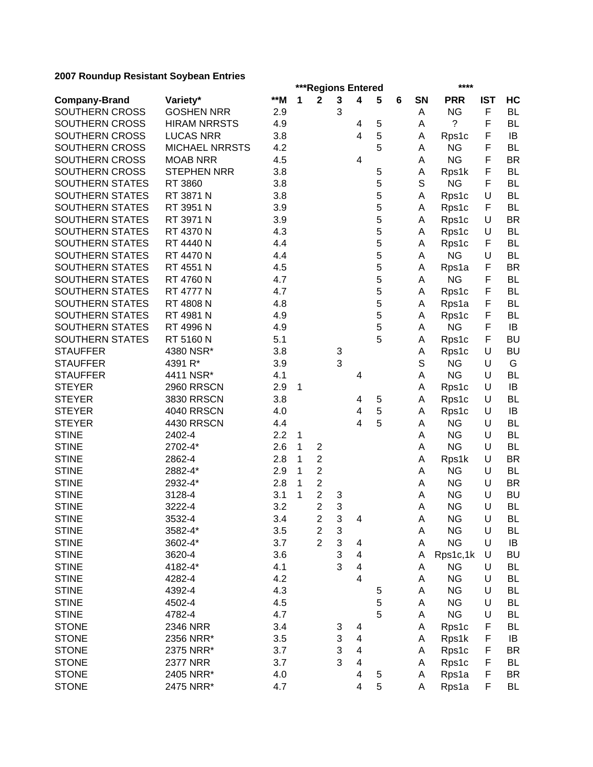|                        |                       |       |   |                                    | ***Regions Entered             |                         |   |   |           | ****               |            |           |
|------------------------|-----------------------|-------|---|------------------------------------|--------------------------------|-------------------------|---|---|-----------|--------------------|------------|-----------|
| <b>Company-Brand</b>   | Variety*              | $**M$ | 1 | $\mathbf{2}$                       | $\mathbf{3}$                   | 4                       | 5 | 6 | <b>SN</b> | <b>PRR</b>         | <b>IST</b> | HC        |
| SOUTHERN CROSS         | <b>GOSHEN NRR</b>     | 2.9   |   |                                    | 3                              |                         |   |   | Α         | <b>NG</b>          | F          | <b>BL</b> |
| SOUTHERN CROSS         | <b>HIRAM NRRSTS</b>   | 4.9   |   |                                    |                                | 4                       | 5 |   | А         | ?                  | F          | <b>BL</b> |
| SOUTHERN CROSS         | <b>LUCAS NRR</b>      | 3.8   |   |                                    |                                | 4                       | 5 |   | Α         | Rps1c              | F          | IB        |
| SOUTHERN CROSS         | <b>MICHAEL NRRSTS</b> | 4.2   |   |                                    |                                |                         | 5 |   | A         | <b>NG</b>          | F          | <b>BL</b> |
| SOUTHERN CROSS         | <b>MOAB NRR</b>       | 4.5   |   |                                    |                                | 4                       |   |   | Α         | <b>NG</b>          | F          | <b>BR</b> |
| SOUTHERN CROSS         | <b>STEPHEN NRR</b>    | 3.8   |   |                                    |                                |                         | 5 |   | Α         | Rps1k              | F          | <b>BL</b> |
| SOUTHERN STATES        | RT 3860               | 3.8   |   |                                    |                                |                         | 5 |   | S         | <b>NG</b>          | F          | <b>BL</b> |
| SOUTHERN STATES        | RT 3871 N             | 3.8   |   |                                    |                                |                         | 5 |   | Α         | Rps1c              | U          | <b>BL</b> |
| SOUTHERN STATES        | RT 3951 N             | 3.9   |   |                                    |                                |                         | 5 |   | Α         | Rps1c              | F          | <b>BL</b> |
| <b>SOUTHERN STATES</b> | RT 3971 N             | 3.9   |   |                                    |                                |                         | 5 |   | Α         | Rps1c              | U          | <b>BR</b> |
| SOUTHERN STATES        | RT 4370 N             | 4.3   |   |                                    |                                |                         | 5 |   | Α         | Rps1c              | U          | <b>BL</b> |
| SOUTHERN STATES        | RT 4440 N             | 4.4   |   |                                    |                                |                         | 5 |   | Α         | Rps1c              | F          | <b>BL</b> |
| SOUTHERN STATES        | <b>RT 4470 N</b>      | 4.4   |   |                                    |                                |                         | 5 |   | Α         | <b>NG</b>          | U          | <b>BL</b> |
| SOUTHERN STATES        | RT 4551 N             | 4.5   |   |                                    |                                |                         | 5 |   | Α         | Rps1a              | F          | <b>BR</b> |
| SOUTHERN STATES        | RT 4760 N             | 4.7   |   |                                    |                                |                         | 5 |   | Α         | <b>NG</b>          | F          | <b>BL</b> |
| SOUTHERN STATES        | RT 4777 N             | 4.7   |   |                                    |                                |                         | 5 |   | Α         | Rps1c              | F          | <b>BL</b> |
| SOUTHERN STATES        | RT 4808 N             | 4.8   |   |                                    |                                |                         | 5 |   | Α         | Rps1a              | F          | <b>BL</b> |
| <b>SOUTHERN STATES</b> | RT 4981 N             | 4.9   |   |                                    |                                |                         | 5 |   | Α         | Rps1c              | F          | <b>BL</b> |
| SOUTHERN STATES        | RT 4996 N             | 4.9   |   |                                    |                                |                         | 5 |   | Α         | <b>NG</b>          | F          | IB        |
| SOUTHERN STATES        | RT 5160 N             | 5.1   |   |                                    |                                |                         | 5 |   | Α         | Rps1c              | F          | <b>BU</b> |
| <b>STAUFFER</b>        | 4380 NSR*             | 3.8   |   |                                    | 3                              |                         |   |   | Α         | Rps1c              | U          | <b>BU</b> |
| <b>STAUFFER</b>        | 4391 R*               | 3.9   |   |                                    | 3                              |                         |   |   | S         | <b>NG</b>          | U          | G         |
| <b>STAUFFER</b>        | 4411 NSR*             | 4.1   |   |                                    |                                | 4                       |   |   | Α         | <b>NG</b>          | U          | <b>BL</b> |
| <b>STEYER</b>          | <b>2960 RRSCN</b>     | 2.9   | 1 |                                    |                                |                         |   |   | Α         | Rps1c              | U          | IB        |
| <b>STEYER</b>          | 3830 RRSCN            | 3.8   |   |                                    |                                | 4                       | 5 |   | Α         | Rps1c              | U          | <b>BL</b> |
| <b>STEYER</b>          | <b>4040 RRSCN</b>     | 4.0   |   |                                    |                                | 4                       | 5 |   | Α         | Rps1c              | U          | IB        |
| <b>STEYER</b>          | <b>4430 RRSCN</b>     | 4.4   |   |                                    |                                | 4                       | 5 |   | Α         | <b>NG</b>          | U          | <b>BL</b> |
| <b>STINE</b>           | 2402-4                | 2.2   | 1 |                                    |                                |                         |   |   | Α         | <b>NG</b>          | U          | <b>BL</b> |
| <b>STINE</b>           | 2702-4*               | 2.6   | 1 | $\overline{\mathbf{c}}$            |                                |                         |   |   | A         | <b>NG</b>          | U          | <b>BL</b> |
| <b>STINE</b>           | 2862-4                | 2.8   | 1 | $\boldsymbol{2}$                   |                                |                         |   |   | Α         |                    | U          | <b>BR</b> |
| <b>STINE</b>           | 2882-4*               | 2.9   | 1 | $\overline{c}$                     |                                |                         |   |   | A         | Rps1k<br><b>NG</b> | U          | <b>BL</b> |
| <b>STINE</b>           |                       | 2.8   | 1 | $\boldsymbol{2}$                   |                                |                         |   |   | A         | <b>NG</b>          | U          | <b>BR</b> |
| <b>STINE</b>           | 2932-4*<br>3128-4     | 3.1   | 1 | $\overline{c}$                     |                                |                         |   |   |           | <b>NG</b>          | U          | <b>BU</b> |
|                        |                       |       |   | $\overline{2}$                     | 3                              |                         |   |   | A         |                    | U          | <b>BL</b> |
| <b>STINE</b>           | 3222-4                | 3.2   |   |                                    | 3                              |                         |   |   | A         | <b>NG</b>          |            |           |
| <b>STINE</b>           | 3532-4                | 3.4   |   | $\boldsymbol{2}$                   | $\ensuremath{\mathsf{3}}$      | 4                       |   |   | A         | <b>NG</b>          | U<br>U     | <b>BL</b> |
| <b>STINE</b>           | 3582-4*               | 3.5   |   | $\boldsymbol{2}$<br>$\overline{2}$ | $\ensuremath{\mathsf{3}}$<br>3 |                         |   |   | Α         | <b>NG</b>          | U          | <b>BL</b> |
| <b>STINE</b>           | 3602-4*               | 3.7   |   |                                    | 3                              | 4                       |   |   | А         | <b>NG</b>          |            | IB        |
| <b>STINE</b>           | 3620-4                | 3.6   |   |                                    | 3                              | $\overline{\mathbf{4}}$ |   |   | Α         | Rps1c,1k           | U          | <b>BU</b> |
| <b>STINE</b>           | 4182-4*               | 4.1   |   |                                    |                                | $\overline{\mathbf{4}}$ |   |   | Α         | <b>NG</b>          | U          | <b>BL</b> |
| <b>STINE</b>           | 4282-4                | 4.2   |   |                                    |                                | $\overline{\mathbf{4}}$ |   |   | A         | <b>NG</b>          | U          | <b>BL</b> |
| <b>STINE</b>           | 4392-4                | 4.3   |   |                                    |                                |                         | 5 |   | Α         | <b>NG</b>          | U          | <b>BL</b> |
| <b>STINE</b>           | 4502-4                | 4.5   |   |                                    |                                |                         | 5 |   | Α         | <b>NG</b>          | U          | <b>BL</b> |
| <b>STINE</b>           | 4782-4                | 4.7   |   |                                    |                                |                         | 5 |   | Α         | <b>NG</b>          | U          | <b>BL</b> |
| <b>STONE</b>           | 2346 NRR              | 3.4   |   |                                    | 3                              | 4                       |   |   | Α         | Rps1c              | F          | <b>BL</b> |
| <b>STONE</b>           | 2356 NRR*             | 3.5   |   |                                    | 3                              | 4                       |   |   | Α         | Rps1k              | F          | IB        |
| <b>STONE</b>           | 2375 NRR*             | 3.7   |   |                                    | 3                              | 4                       |   |   | Α         | Rps1c              | F          | <b>BR</b> |
| <b>STONE</b>           | <b>2377 NRR</b>       | 3.7   |   |                                    | 3                              | 4                       |   |   | Α         | Rps1c              | F          | <b>BL</b> |
| <b>STONE</b>           | 2405 NRR*             | 4.0   |   |                                    |                                | 4                       | 5 |   | A         | Rps1a              | F          | <b>BR</b> |
| <b>STONE</b>           | 2475 NRR*             | 4.7   |   |                                    |                                | 4                       | 5 |   | Α         | Rps1a              | F          | <b>BL</b> |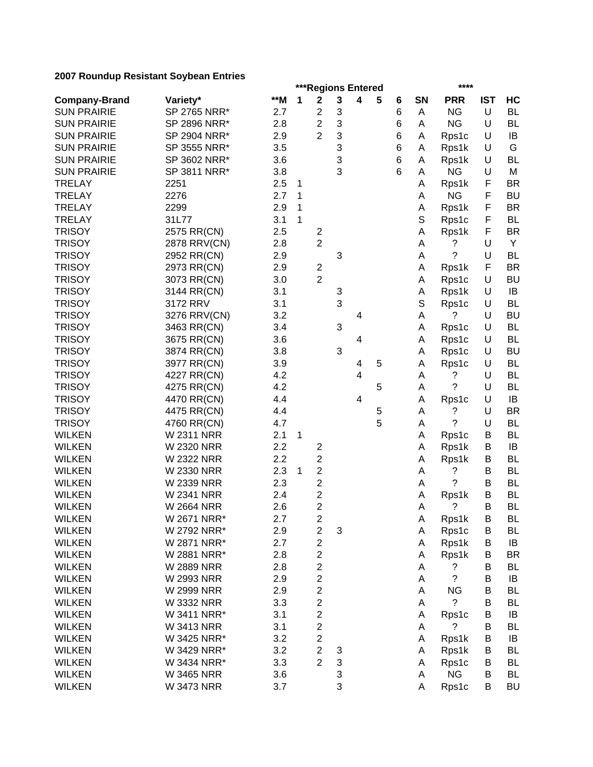|                      |                   |     |   | ***Regions Entered      |        |   |   |   |        | ****               |            |           |
|----------------------|-------------------|-----|---|-------------------------|--------|---|---|---|--------|--------------------|------------|-----------|
| <b>Company-Brand</b> | Variety*          | **M | 1 | $\mathbf 2$             | 3      | 4 | 5 | 6 | SN     | <b>PRR</b>         | <b>IST</b> | HC        |
| <b>SUN PRAIRIE</b>   | SP 2765 NRR*      | 2.7 |   | $\overline{\mathbf{c}}$ | 3      |   |   | 6 | Α      | <b>NG</b>          | U          | <b>BL</b> |
| <b>SUN PRAIRIE</b>   | SP 2896 NRR*      | 2.8 |   | $\overline{2}$          | 3      |   |   | 6 | Α      | <b>NG</b>          | U          | <b>BL</b> |
| <b>SUN PRAIRIE</b>   | SP 2904 NRR*      | 2.9 |   | $\overline{2}$          | 3      |   |   | 6 | A      | Rps1c              | U          | IB        |
| <b>SUN PRAIRIE</b>   | SP 3555 NRR*      | 3.5 |   |                         | 3      |   |   | 6 | A      | Rps1k              | U          | G         |
| <b>SUN PRAIRIE</b>   | SP 3602 NRR*      | 3.6 |   |                         | 3      |   |   | 6 | Α      | Rps1k              | U          | <b>BL</b> |
| <b>SUN PRAIRIE</b>   | SP 3811 NRR*      | 3.8 |   |                         | 3      |   |   | 6 | A      | <b>NG</b>          | U          | M         |
| <b>TRELAY</b>        | 2251              | 2.5 | 1 |                         |        |   |   |   | Α      | Rps1k              | F          | <b>BR</b> |
| <b>TRELAY</b>        | 2276              | 2.7 | 1 |                         |        |   |   |   | A      | <b>NG</b>          | F          | <b>BU</b> |
| <b>TRELAY</b>        | 2299              | 2.9 | 1 |                         |        |   |   |   | Α      | Rps1k              | F          | <b>BR</b> |
| <b>TRELAY</b>        | 31L77             | 3.1 | 1 |                         |        |   |   |   | S      | Rps1c              | F          | BL        |
| <b>TRISOY</b>        | 2575 RR(CN)       | 2.5 |   | $\overline{\mathbf{c}}$ |        |   |   |   | Α      | Rps1k              | F          | <b>BR</b> |
| <b>TRISOY</b>        | 2878 RRV(CN)      | 2.8 |   | $\overline{2}$          |        |   |   |   | A      | ?                  | U          | Y         |
| <b>TRISOY</b>        | 2952 RR(CN)       | 2.9 |   |                         | 3      |   |   |   | Α      | ?                  | U          | <b>BL</b> |
| <b>TRISOY</b>        | 2973 RR(CN)       | 2.9 |   | $\overline{\mathbf{c}}$ |        |   |   |   | Α      | Rps1k              | F          | <b>BR</b> |
| <b>TRISOY</b>        | 3073 RR(CN)       | 3.0 |   | $\overline{2}$          |        |   |   |   | Α      | Rps1c              | U          | <b>BU</b> |
| <b>TRISOY</b>        | 3144 RR(CN)       | 3.1 |   |                         | 3      |   |   |   | Α      | Rps1k              | $\cup$     | IB        |
| <b>TRISOY</b>        | 3172 RRV          | 3.1 |   |                         | 3      |   |   |   | S      | Rps1c              | U          | <b>BL</b> |
| <b>TRISOY</b>        | 3276 RRV(CN)      | 3.2 |   |                         |        | 4 |   |   | Α      | ?                  | U          | <b>BU</b> |
| <b>TRISOY</b>        | 3463 RR(CN)       | 3.4 |   |                         | 3      |   |   |   | Α      | Rps1c              | U          | <b>BL</b> |
| <b>TRISOY</b>        | 3675 RR(CN)       | 3.6 |   |                         |        | 4 |   |   | Α      | Rps1c              | $\cup$     | <b>BL</b> |
| <b>TRISOY</b>        | 3874 RR(CN)       | 3.8 |   |                         | 3      |   |   |   | Α      | Rps1c              | U          | <b>BU</b> |
| <b>TRISOY</b>        | 3977 RR(CN)       | 3.9 |   |                         |        | 4 | 5 |   | Α      | Rps1c              | U          | <b>BL</b> |
| <b>TRISOY</b>        | 4227 RR(CN)       | 4.2 |   |                         |        | 4 |   |   | A      | ?                  | U          | <b>BL</b> |
| <b>TRISOY</b>        | 4275 RR(CN)       | 4.2 |   |                         |        |   | 5 |   | Α      | ?                  | U          | <b>BL</b> |
| <b>TRISOY</b>        | 4470 RR(CN)       | 4.4 |   |                         |        | 4 |   |   | Α      | Rps1c              | U          | IB        |
| <b>TRISOY</b>        | 4475 RR(CN)       | 4.4 |   |                         |        |   | 5 |   | Α      | ?                  | U          | <b>BR</b> |
| <b>TRISOY</b>        | 4760 RR(CN)       | 4.7 |   |                         |        |   | 5 |   | Α      | ?                  | U          | <b>BL</b> |
| <b>WILKEN</b>        | W 2311 NRR        | 2.1 | 1 |                         |        |   |   |   | Α      | Rps1c              | В          | <b>BL</b> |
| <b>WILKEN</b>        | <b>W 2320 NRR</b> | 2.2 |   | $\overline{\mathbf{c}}$ |        |   |   |   | A      | Rps1k              | B          | IB        |
| <b>WILKEN</b>        | <b>W 2322 NRR</b> | 2.2 |   | $\overline{c}$          |        |   |   |   | Α      | Rps1k              | В          | <b>BL</b> |
| <b>WILKEN</b>        | W 2330 NRR        | 2.3 | 1 | $\overline{\mathbf{c}}$ |        |   |   |   | А      | ?                  | В          | <b>BL</b> |
| <b>WILKEN</b>        | W 2339 NRR        | 2.3 |   | $\overline{\mathbf{c}}$ |        |   |   |   | Α      | ?                  | B          | <b>BL</b> |
| <b>WILKEN</b>        | <b>W 2341 NRR</b> | 2.4 |   | $\overline{\mathbf{c}}$ |        |   |   |   | Α      | Rps1k              | B          | <b>BL</b> |
| <b>WILKEN</b>        | <b>W 2664 NRR</b> | 2.6 |   | $\overline{2}$          |        |   |   |   | Α      | ?                  | B          | <b>BL</b> |
| <b>WILKEN</b>        | W 2671 NRR*       | 2.7 |   | $\overline{\mathbf{c}}$ |        |   |   |   | А      | Rps1k              | В          | BL        |
| <b>WILKEN</b>        | W 2792 NRR*       | 2.9 |   | 2                       | 3      |   |   |   | Α      | Rps1c              | B          | BL        |
| <b>WILKEN</b>        | W 2871 NRR*       | 2.7 |   | 2                       |        |   |   |   | A      | Rps1k              | B          | IB        |
| <b>WILKEN</b>        | W 2881 NRR*       | 2.8 |   | $\overline{c}$          |        |   |   |   | Α      | Rps1k              | B          | <b>BR</b> |
| <b>WILKEN</b>        | <b>W 2889 NRR</b> | 2.8 |   | $\overline{\mathbf{c}}$ |        |   |   |   | Α      | ?                  | В          | <b>BL</b> |
| <b>WILKEN</b>        | W 2993 NRR        | 2.9 |   | $\overline{\mathbf{c}}$ |        |   |   |   | Α      | $\ddot{?}$         | B          | IB        |
| <b>WILKEN</b>        | <b>W 2999 NRR</b> | 2.9 |   | $\overline{\mathbf{c}}$ |        |   |   |   | A      | <b>NG</b>          | B          | <b>BL</b> |
| <b>WILKEN</b>        | W 3332 NRR        | 3.3 |   | $\overline{c}$          |        |   |   |   | Α      | ?                  | B          | <b>BL</b> |
| <b>WILKEN</b>        | W 3411 NRR*       | 3.1 |   | $\overline{\mathbf{c}}$ |        |   |   |   | Α      | Rps1c              | В          | IB        |
| <b>WILKEN</b>        | <b>W 3413 NRR</b> | 3.1 |   | $\overline{c}$          |        |   |   |   | Α      | ?                  | В          | <b>BL</b> |
| <b>WILKEN</b>        | W 3425 NRR*       | 3.2 |   | $\overline{\mathbf{c}}$ |        |   |   |   |        | Rps1k              | В          | IB        |
| <b>WILKEN</b>        | W 3429 NRR*       | 3.2 |   | $\overline{c}$          |        |   |   |   | A<br>Α | Rps1k              | В          | <b>BL</b> |
| <b>WILKEN</b>        | W 3434 NRR*       | 3.3 |   | $\overline{2}$          | 3<br>3 |   |   |   |        |                    | В          | <b>BL</b> |
| <b>WILKEN</b>        |                   |     |   |                         |        |   |   |   | Α<br>A | Rps1c<br><b>NG</b> | B          | <b>BL</b> |
|                      | <b>W 3465 NRR</b> | 3.6 |   |                         | 3      |   |   |   |        |                    |            |           |
| <b>WILKEN</b>        | <b>W 3473 NRR</b> | 3.7 |   |                         | 3      |   |   |   | A      | Rps1c              | B          | <b>BU</b> |